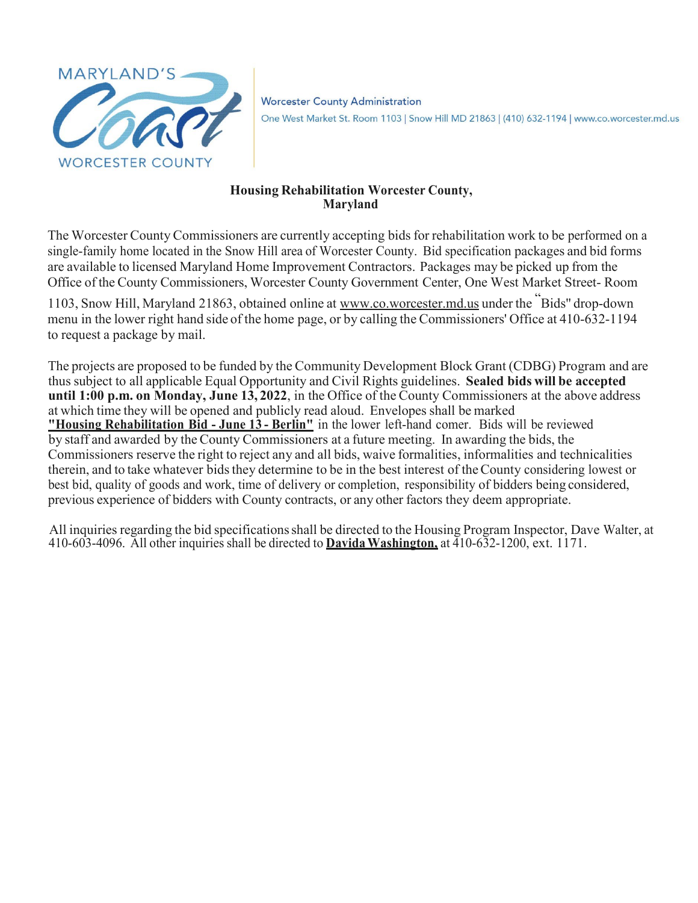

**Worcester County Administration** One West Market St. Room 1103 | Snow Hill MD 21863 | (410) 632-1194 | www.co.worcester.md.us

#### **Housing Rehabilitation Worcester County, Maryland**

The Worcester County Commissioners are currently accepting bids for rehabilitation work to be performed on a single-family home located in the Snow Hill area of Worcester County. Bid specification packages and bid forms are available to licensed Maryland Home Improvement Contractors. Packages may be picked up from the Office of the County Commissioners, Worcester County Government Center, One West Market Street- Room

1103, Snow Hill, Maryland 21863, obtained online at [www.co.worcester.md.us](http://www.co.worcester.md.us/) under the "Bids'' drop-down menu in the lower right hand side of the home page, or by calling the Commissioners' Office at 410-632-1194 to request a package by mail.

The projects are proposed to be funded by the Community Development Block Grant (CDBG) Program and are thus subject to all applicable Equal Opportunity and Civil Rights guidelines. **Sealed bids will be accepted until 1:00 p.m. on Monday, June 13, 2022**, in the Office of the County Commissioners at the above address at which time they will be opened and publicly read aloud. Envelopes shall be marked **"Housing Rehabilitation Bid - June 13 - Berlin"** in the lower left-hand comer. Bids will be reviewed by staff and awarded by theCounty Commissioners at a future meeting. In awarding the bids, the Commissioners reserve the right to reject any and all bids, waive formalities, informalities and technicalities therein, and to take whatever bids they determine to be in the best interest of the County considering lowest or best bid, quality of goods and work, time of delivery or completion, responsibility of bidders being considered, previous experience of bidders with County contracts, or any other factors they deem appropriate.

All inquiries regarding the bid specificationsshall be directed to the Housing Program Inspector, Dave Walter, at 410-603-4096. All other inquiries shall be directed to **DavidaWashington,** at 410-632-1200, ext. 1171.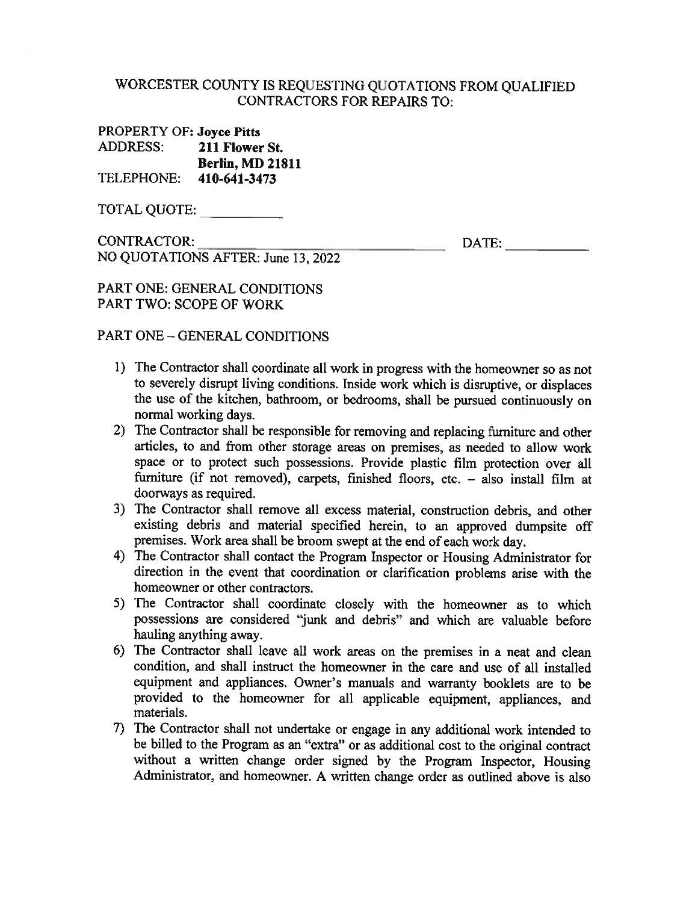#### WORCESTER COUNTY IS REQUESTING QUOTATIONS FROM OUALIFIED **CONTRACTORS FOR REPAIRS TO:**

| <b>PROPERTY OF: Joyce Pitts</b> |                         |
|---------------------------------|-------------------------|
| ADDRESS:                        | 211 Flower St.          |
|                                 | <b>Berlin, MD 21811</b> |
| TELEPHONE:                      | 410-641-3473            |

TOTAL QUOTE:

CONTRACTOR:

 $\blacksquare$ 

PART ONE: GENERAL CONDITIONS

NO QUOTATIONS AFTER: June 13, 2022

PART TWO: SCOPE OF WORK

#### PART ONE - GENERAL CONDITIONS

- 1) The Contractor shall coordinate all work in progress with the homeowner so as not to severely disrupt living conditions. Inside work which is disruptive, or displaces the use of the kitchen, bathroom, or bedrooms, shall be pursued continuously on normal working days.
- 2) The Contractor shall be responsible for removing and replacing furniture and other articles, to and from other storage areas on premises, as needed to allow work space or to protect such possessions. Provide plastic film protection over all furniture (if not removed), carpets, finished floors, etc. - also install film at doorways as required.
- 3) The Contractor shall remove all excess material, construction debris, and other existing debris and material specified herein, to an approved dumpsite off premises. Work area shall be broom swept at the end of each work day.
- 4) The Contractor shall contact the Program Inspector or Housing Administrator for direction in the event that coordination or clarification problems arise with the homeowner or other contractors.
- 5) The Contractor shall coordinate closely with the homeowner as to which possessions are considered "junk and debris" and which are valuable before hauling anything away.
- 6) The Contractor shall leave all work areas on the premises in a neat and clean condition, and shall instruct the homeowner in the care and use of all installed equipment and appliances. Owner's manuals and warranty booklets are to be provided to the homeowner for all applicable equipment, appliances, and materials.
- 7) The Contractor shall not undertake or engage in any additional work intended to be billed to the Program as an "extra" or as additional cost to the original contract without a written change order signed by the Program Inspector, Housing Administrator, and homeowner. A written change order as outlined above is also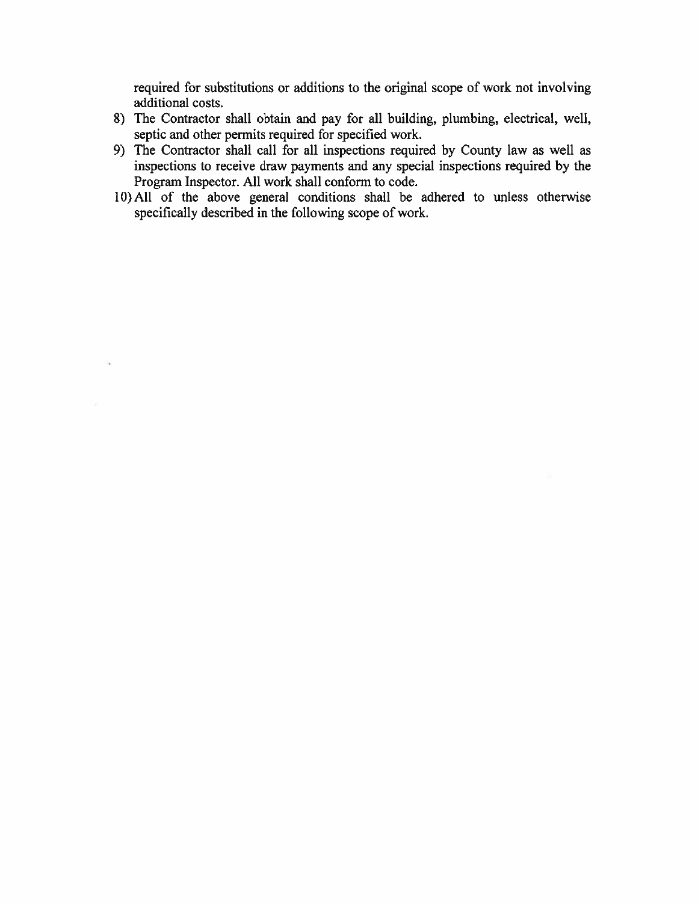required for substitutions or additions to the original scope of work not involving additional costs.

- 8) The Contractor shall obtain and pay for all building, plumbing, electrical, well, septic and other permits required for specified work.
- 9) The Contractor shall call for all inspections required by County law as well as inspections to receive draw payments and any special inspections required by the Program Inspector. All work shall conform to code.
- 10) All of the above general conditions shall be adhered to unless otherwise specifically described in the following scope of work.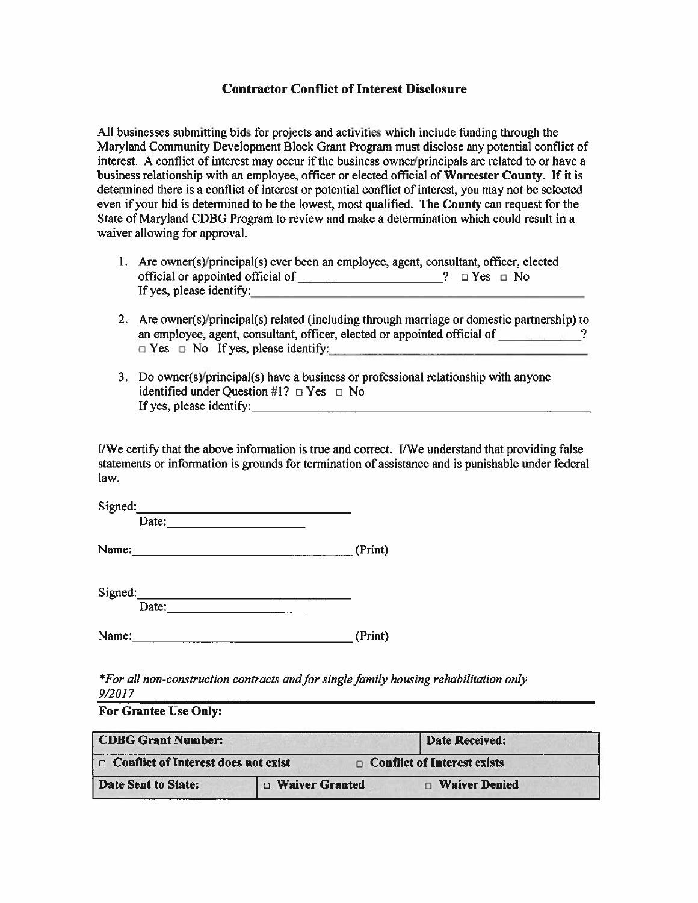#### **Contractor Conflict of Interest Disclosure**

All businesses submitting bids for projects and activities which include funding through the Maryland Community Development Block Grant Program must disclose any potential conflict of interest. A conflict of interest may occur if the business owner/principals are related to or have a business relationship with an employee, officer or elected official of Worcester County. If it is determined there is a conflict of interest or potential conflict of interest, you may not be selected even if your bid is determined to be the lowest, most qualified. The County can request for the State of Maryland CDBG Program to review and make a determination which could result in a waiver allowing for approval.

- 1. Are owner(s)/principal(s) ever been an employee, agent, consultant, officer, elected If yes, please identify:  $\overline{\phantom{a}}$
- 2. Are owner(s)/principal(s) related (including through marriage or domestic partnership) to an employee, agent, consultant, officer, elected or appointed official of ?  $\Box$  Yes  $\Box$  No If yes, please identify:
- 3. Do owner(s)/principal(s) have a business or professional relationship with anyone identified under Question #1?  $\Box$  Yes  $\Box$  No If yes, please identify:  $\qquad \qquad$

I/We certify that the above information is true and correct. I/We understand that providing false statements or information is grounds for termination of assistance and is punishable under federal law.

| Signed: |       |         |
|---------|-------|---------|
|         | Date: |         |
| Name:   |       | (Print) |

| Signed: |         |  |  |
|---------|---------|--|--|
|         | ⊥ lafe* |  |  |

| Name: | (Print) |
|-------|---------|
|       |         |

\*For all non-construction contracts and for single family housing rehabilitation only  $9/2017$ 

#### **For Grantee Use Only:**

| <b>CDBG Grant Number:</b>                  |                       | <b>Date Received:</b>              |  |
|--------------------------------------------|-----------------------|------------------------------------|--|
| $\Box$ Conflict of Interest does not exist |                       | $\Box$ Conflict of Interest exists |  |
| Date Sent to State:                        | $\Box$ Waiver Granted | <b>D</b> Waiver Denied             |  |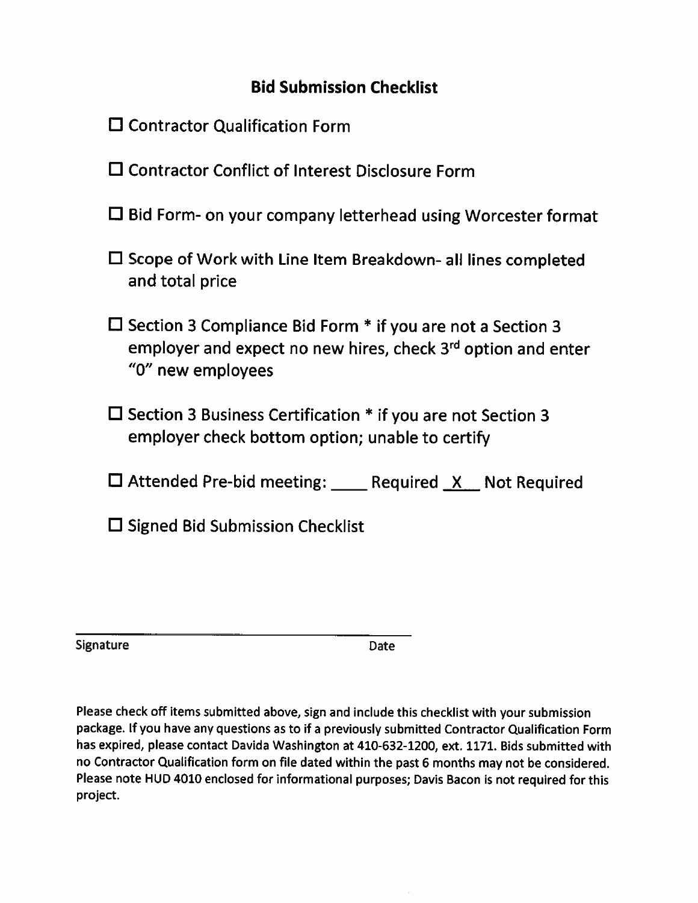# **Bid Submission Checklist**

- $\square$  Contractor Qualification Form
- □ Contractor Conflict of Interest Disclosure Form
- $\Box$  Bid Form- on your company letterhead using Worcester format
- $\square$  Scope of Work with Line Item Breakdown- all lines completed and total price
- $\Box$  Section 3 Compliance Bid Form  $*$  if you are not a Section 3 employer and expect no new hires, check 3<sup>rd</sup> option and enter "0" new employees
- $\Box$  Section 3 Business Certification  $*$  if you are not Section 3 employer check bottom option; unable to certify
- $\Box$  Attended Pre-bid meeting: Required X Not Required
- $\square$  Signed Bid Submission Checklist

Signature

Date

Please check off items submitted above, sign and include this checklist with your submission package. If you have any questions as to if a previously submitted Contractor Qualification Form has expired, please contact Davida Washington at 410-632-1200, ext. 1171. Bids submitted with no Contractor Qualification form on file dated within the past 6 months may not be considered. Please note HUD 4010 enclosed for informational purposes; Davis Bacon is not required for this project.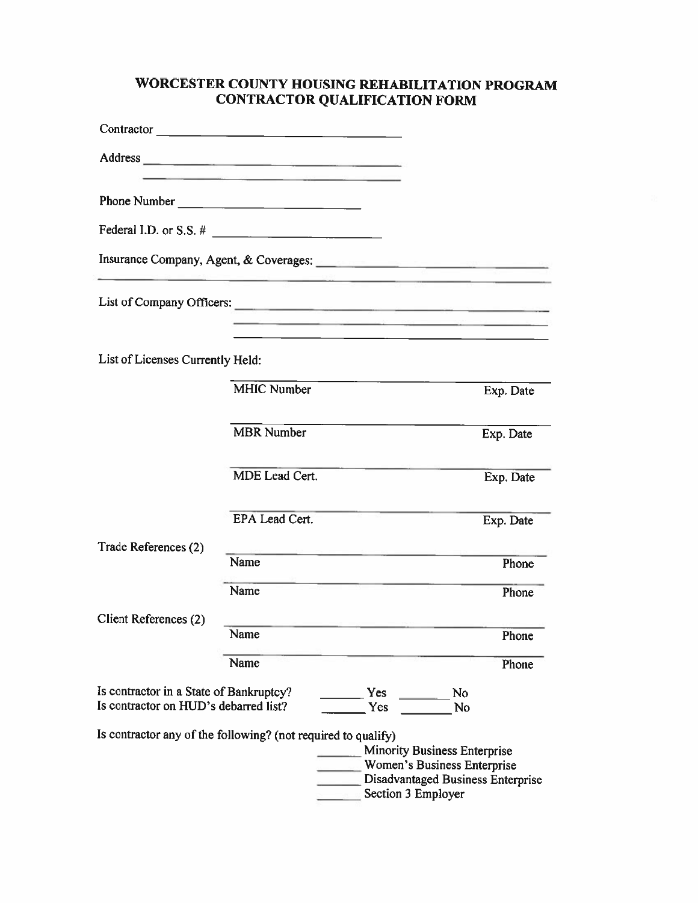# WORCESTER COUNTY HOUSING REHABILITATION PROGRAM **CONTRACTOR QUALIFICATION FORM**

| Contractor                                                                       |                                                                                                                                                                                                                                |                                     |                                                                                                                                                                                                                                      |
|----------------------------------------------------------------------------------|--------------------------------------------------------------------------------------------------------------------------------------------------------------------------------------------------------------------------------|-------------------------------------|--------------------------------------------------------------------------------------------------------------------------------------------------------------------------------------------------------------------------------------|
|                                                                                  | the company of the state of the company of the company of the company of the company of the company of the company of the company of the company of the company of the company of the company of the company of the company of |                                     |                                                                                                                                                                                                                                      |
| Phone Number                                                                     |                                                                                                                                                                                                                                |                                     |                                                                                                                                                                                                                                      |
|                                                                                  |                                                                                                                                                                                                                                |                                     |                                                                                                                                                                                                                                      |
|                                                                                  |                                                                                                                                                                                                                                |                                     | Insurance Company, Agent, & Coverages: <u>Communications and the set of the set of the set of the set of the set of the set of the set of the set of the set of the set of the set of the set of the set of the set of the set o</u> |
|                                                                                  |                                                                                                                                                                                                                                |                                     |                                                                                                                                                                                                                                      |
|                                                                                  |                                                                                                                                                                                                                                |                                     | A TAX IN THE STORE AND RELEASED FOR THE WAY AN INCOME.<br><u> 1980 - Johann Barn, amerikan pendador (h. 1980).</u>                                                                                                                   |
| List of Licenses Currently Held:                                                 |                                                                                                                                                                                                                                |                                     |                                                                                                                                                                                                                                      |
|                                                                                  | <b>MHIC Number</b>                                                                                                                                                                                                             |                                     | Exp. Date                                                                                                                                                                                                                            |
|                                                                                  | <b>MBR</b> Number                                                                                                                                                                                                              |                                     | Exp. Date                                                                                                                                                                                                                            |
|                                                                                  | MDE Lead Cert.                                                                                                                                                                                                                 |                                     | Exp. Date                                                                                                                                                                                                                            |
|                                                                                  | <b>EPA Lead Cert.</b>                                                                                                                                                                                                          |                                     | Exp. Date                                                                                                                                                                                                                            |
| Trade References (2)                                                             | Name                                                                                                                                                                                                                           |                                     |                                                                                                                                                                                                                                      |
|                                                                                  |                                                                                                                                                                                                                                |                                     | Phone                                                                                                                                                                                                                                |
|                                                                                  | Name                                                                                                                                                                                                                           |                                     | Phone                                                                                                                                                                                                                                |
| Client References (2)                                                            | Name                                                                                                                                                                                                                           | A more than 1991 more than 1992 and | Phone                                                                                                                                                                                                                                |
|                                                                                  | Name                                                                                                                                                                                                                           |                                     | Phone                                                                                                                                                                                                                                |
| Is contractor in a State of Bankruptcy?<br>Is contractor on HUD's debarred list? |                                                                                                                                                                                                                                | Yes<br>Yes                          | N <sub>0</sub><br>No                                                                                                                                                                                                                 |
| Is contractor any of the following? (not required to qualify)                    |                                                                                                                                                                                                                                | Section 3 Employer                  | <b>Minority Business Enterprise</b><br>Women's Business Enterprise<br>Disadvantaged Business Enterprise                                                                                                                              |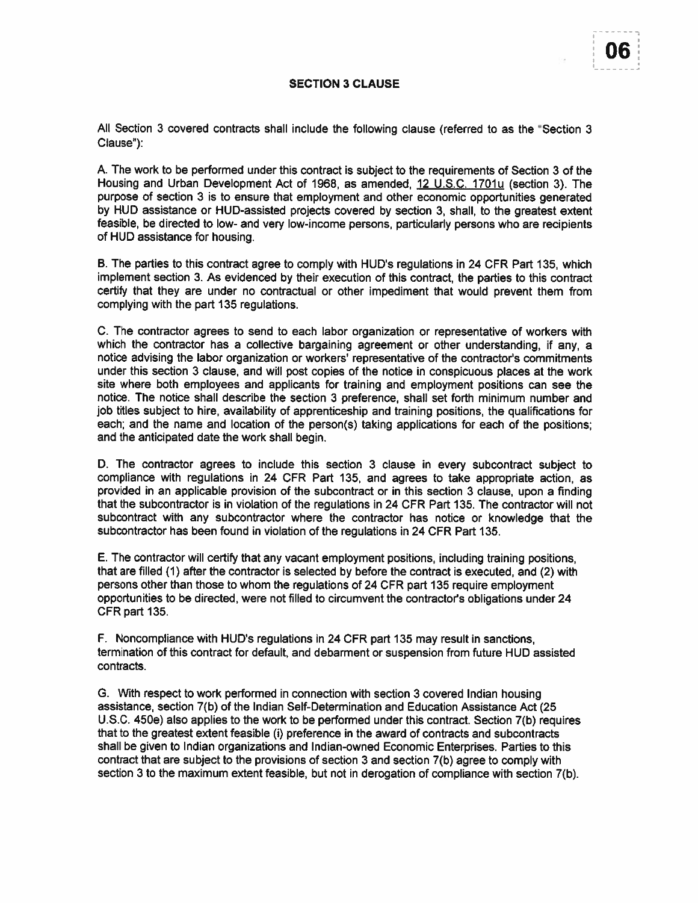U6

#### **SECTION 3 CLAUSE**

All Section 3 covered contracts shall include the following clause (referred to as the "Section 3 Clause"):

A. The work to be performed under this contract is subject to the requirements of Section 3 of the Housing and Urban Development Act of 1968, as amended, 12 U.S.C. 1701u (section 3). The purpose of section 3 is to ensure that employment and other economic opportunities generated by HUD assistance or HUD-assisted projects covered by section 3, shall, to the greatest extent feasible, be directed to low- and very low-income persons, particularly persons who are recipients of HUD assistance for housing.

B. The parties to this contract agree to comply with HUD's regulations in 24 CFR Part 135, which implement section 3. As evidenced by their execution of this contract, the parties to this contract certify that they are under no contractual or other impediment that would prevent them from complying with the part 135 regulations.

C. The contractor agrees to send to each labor organization or representative of workers with which the contractor has a collective bargaining agreement or other understanding, if any, a notice advising the labor organization or workers' representative of the contractor's commitments under this section 3 clause, and will post copies of the notice in conspicuous places at the work site where both employees and applicants for training and employment positions can see the notice. The notice shall describe the section 3 preference, shall set forth minimum number and job titles subject to hire, availability of apprenticeship and training positions, the qualifications for each; and the name and location of the person(s) taking applications for each of the positions; and the anticipated date the work shall begin.

D. The contractor agrees to include this section 3 clause in every subcontract subject to compliance with regulations in 24 CFR Part 135, and agrees to take appropriate action, as provided in an applicable provision of the subcontract or in this section 3 clause, upon a finding that the subcontractor is in violation of the regulations in 24 CFR Part 135. The contractor will not subcontract with any subcontractor where the contractor has notice or knowledge that the subcontractor has been found in violation of the regulations in 24 CFR Part 135.

E. The contractor will certify that any vacant employment positions, including training positions, that are filled (1) after the contractor is selected by before the contract is executed, and (2) with persons other than those to whom the regulations of 24 CFR part 135 require employment opportunities to be directed, were not filled to circumvent the contractor's obligations under 24 CFR part 135.

F. Noncompliance with HUD's regulations in 24 CFR part 135 may result in sanctions, termination of this contract for default, and debarment or suspension from future HUD assisted contracts.

G. With respect to work performed in connection with section 3 covered Indian housing assistance, section 7(b) of the Indian Self-Determination and Education Assistance Act (25 U.S.C. 450e) also applies to the work to be performed under this contract. Section 7(b) requires that to the greatest extent feasible (i) preference in the award of contracts and subcontracts shall be given to Indian organizations and Indian-owned Economic Enterprises. Parties to this contract that are subject to the provisions of section 3 and section 7(b) agree to comply with section 3 to the maximum extent feasible, but not in derogation of compliance with section 7(b).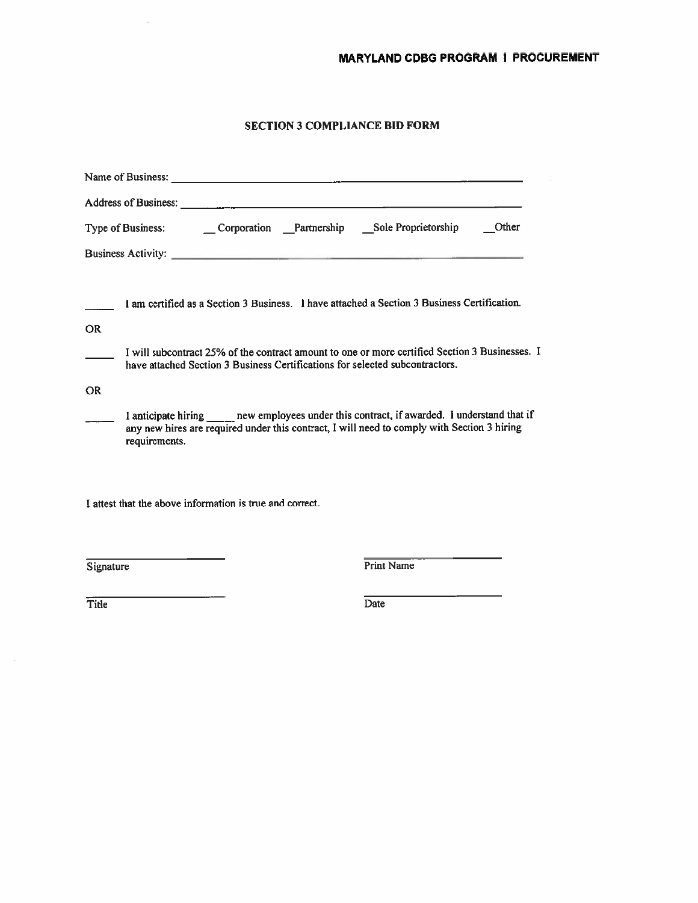#### **SECTION 3 COMPLIANCE BID FORM**

| Other                                                                                                                                                                                                          |
|----------------------------------------------------------------------------------------------------------------------------------------------------------------------------------------------------------------|
| <b>Business Activity:</b>                                                                                                                                                                                      |
| 1 am certified as a Section 3 Business. 1 have attached a Section 3 Business Certification.<br><b>OR</b>                                                                                                       |
| I will subcontract 25% of the contract amount to one or more certified Section 3 Businesses. I<br>have attached Section 3 Business Certifications for selected subcontractors.                                 |
| <b>OR</b>                                                                                                                                                                                                      |
| I anticipate hiring ______ new employees under this contract, if awarded. I understand that if<br>any new hires are required under this contract, I will need to comply with Section 3 hiring<br>requirements. |
| I attest that the above information is true and correct.                                                                                                                                                       |
| <b>Print Name</b><br>Signature                                                                                                                                                                                 |

Title

 $\sim$ 

Date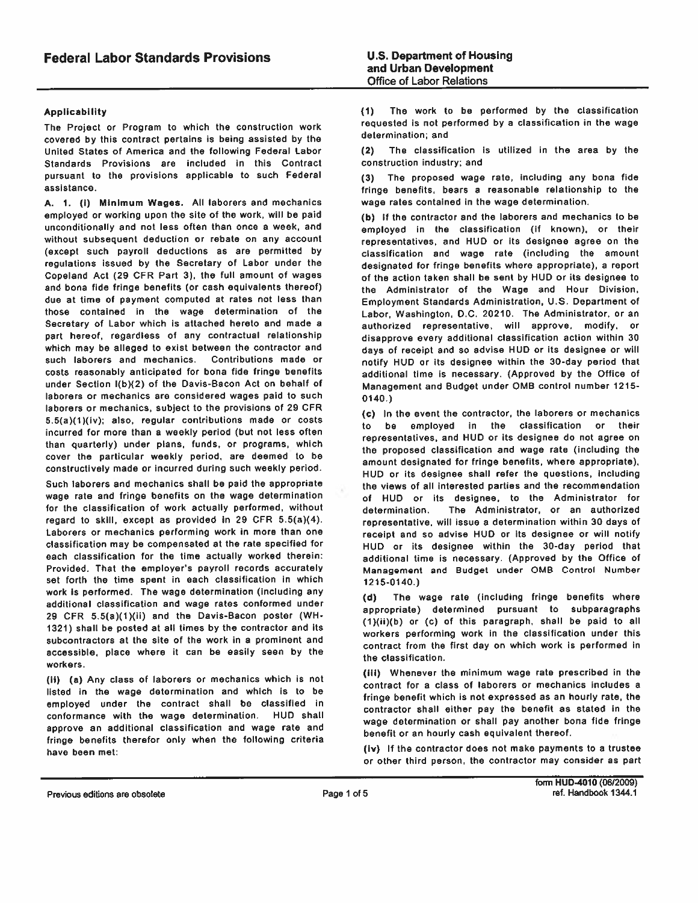#### **Applicability**

The Project or Program to which the construction work covered by this contract pertains is being assisted by the United States of America and the following Federal Labor Standards Provisions are included in this Contract pursuant to the provisions applicable to such Federal assistance.

A. 1. (i) Minimum Wages. All laborers and mechanics employed or working upon the site of the work, will be paid unconditionally and not less often than once a week, and without subsequent deduction or rebate on any account (except such payroll deductions as are permitted by regulations issued by the Secretary of Labor under the Copeland Act (29 CFR Part 3), the full amount of wages and bona fide fringe benefits (or cash equivalents thereof) due at time of payment computed at rates not less than those contained in the wage determination of the Secretary of Labor which is attached hereto and made a part hereof, regardless of any contractual relationship which may be alleged to exist between the contractor and such laborers and mechanics. Contributions made or costs reasonably anticipated for bona fide fringe benefits under Section I(b)(2) of the Davis-Bacon Act on behalf of laborers or mechanics are considered wages paid to such laborers or mechanics, subject to the provisions of 29 CFR 5.5(a)(1)(iv); also, regular contributions made or costs incurred for more than a weekly period (but not less often than quarterly) under plans, funds, or programs, which cover the particular weekly period, are deemed to be constructively made or incurred during such weekly period.

Such laborers and mechanics shall be paid the appropriate wage rate and fringe benefits on the wage determination for the classification of work actually performed, without regard to skill, except as provided in 29 CFR 5.5(a)(4). Laborers or mechanics performing work in more than one classification may be compensated at the rate specified for each classification for the time actually worked therein: Provided, That the employer's payroll records accurately set forth the time spent in each classification in which work is performed. The wage determination (including any additional classification and wage rates conformed under 29 CFR 5.5(a)(1)(ii) and the Davis-Bacon poster (WH-1321) shall be posted at all times by the contractor and its subcontractors at the site of the work in a prominent and accessible, place where it can be easily seen by the workers.

(ii) (a) Any class of laborers or mechanics which is not listed in the wage determination and which is to be employed under the contract shall be classified in conformance with the wage determination. HUD shall approve an additional classification and wage rate and fringe benefits therefor only when the following criteria have been met:

The work to be performed by the classification  $(1)$ requested is not performed by a classification in the wage determination; and

The classification is utilized in the area by the  $(2)$ construction industry; and

(3) The proposed wage rate, including any bona fide fringe benefits, bears a reasonable relationship to the wage rates contained in the wage determination.

(b) If the contractor and the laborers and mechanics to be employed in the classification (if known), or their representatives, and HUD or its designee agree on the classification and wage rate (including the amount designated for fringe benefits where appropriate), a report of the action taken shall be sent by HUD or its designee to the Administrator of the Wage and Hour Division, Employment Standards Administration, U.S. Department of Labor, Washington, D.C. 20210. The Administrator, or an authorized representative, will approve, modify, or disapprove every additional classification action within 30 days of receipt and so advise HUD or its designee or will notify HUD or its designee within the 30-day period that additional time is necessary. (Approved by the Office of Management and Budget under OMB control number 1215- $0140.$ 

(c) In the event the contractor, the laborers or mechanics to be employed in the classification or their representatives, and HUD or its designee do not agree on the proposed classification and wage rate (including the amount designated for fringe benefits, where appropriate), HUD or its designee shall refer the questions, including the views of all interested parties and the recommendation of HUD or its designee, to the Administrator for The Administrator, or an authorized determination. representative, will issue a determination within 30 days of receipt and so advise HUD or its designee or will notify HUD or its designee within the 30-day period that additional time is necessary. (Approved by the Office of Management and Budget under OMB Control Number  $1215 - 0140.$ 

The wage rate (including fringe benefits where  $(d)$ appropriate) determined pursuant to subparagraphs (1)(ii)(b) or (c) of this paragraph, shall be paid to all workers performing work in the classification under this contract from the first day on which work is performed in the classification.

(iii) Whenever the minimum wage rate prescribed in the contract for a class of laborers or mechanics includes a fringe benefit which is not expressed as an hourly rate, the contractor shall either pay the benefit as stated in the wage determination or shall pay another bona fide fringe benefit or an hourly cash equivalent thereof.

(iv) If the contractor does not make payments to a trustee or other third person, the contractor may consider as part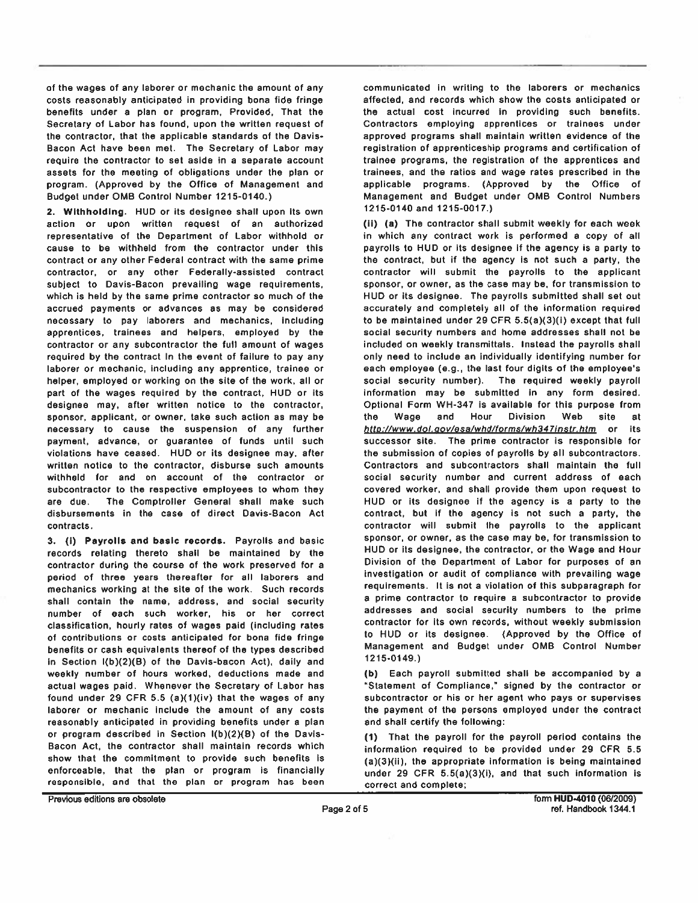of the wages of any laborer or mechanic the amount of any costs reasonably anticipated in providing bona fide fringe benefits under a plan or program, Provided, That the Secretary of Labor has found, upon the written request of the contractor, that the applicable standards of the Davis-Bacon Act have been met. The Secretary of Labor may require the contractor to set aside in a separate account assets for the meeting of obligations under the plan or program. (Approved by the Office of Management and Budget under OMB Control Number 1215-0140.)

2. Withholding. HUD or its designee shall upon its own action or upon written request of an authorized representative of the Department of Labor withhold or cause to be withheld from the contractor under this contract or any other Federal contract with the same prime contractor, or any other Federally-assisted contract subject to Davis-Bacon prevailing wage requirements, which is held by the same prime contractor so much of the accrued payments or advances as may be considered necessary to pay laborers and mechanics, including apprentices, trainees and helpers, employed by the contractor or any subcontractor the full amount of wages required by the contract In the event of failure to pay any laborer or mechanic, including any apprentice, trainee or helper, employed or working on the site of the work, all or part of the wages required by the contract, HUD or its designee may, after written notice to the contractor, sponsor, applicant, or owner, take such action as may be necessary to cause the suspension of any further payment, advance, or guarantee of funds until such violations have ceased. HUD or its designee may, after written notice to the contractor, disburse such amounts withheld for and on account of the contractor or subcontractor to the respective employees to whom they are due. The Comptroller General shall make such disbursements in the case of direct Davis-Bacon Act contracts.

3. (i) Payrolls and basic records. Payrolls and basic records relating thereto shall be maintained by the contractor during the course of the work preserved for a period of three years thereafter for all laborers and mechanics working at the site of the work. Such records shall contain the name, address, and social security number of each such worker, his or her correct classification, hourly rates of wages paid (including rates of contributions or costs anticipated for bona fide fringe benefits or cash equivalents thereof of the types described in Section I(b)(2)(B) of the Davis-bacon Act), daily and weekly number of hours worked, deductions made and actual wages paid. Whenever the Secretary of Labor has found under 29 CFR 5.5 (a)(1)(iv) that the wages of any laborer or mechanic include the amount of any costs reasonably anticipated in providing benefits under a plan or program described in Section I(b)(2)(B) of the Davis-Bacon Act, the contractor shall maintain records which show that the commitment to provide such benefits is enforceable, that the plan or program is financially responsible, and that the plan or program has been communicated in writing to the laborers or mechanics affected, and records which show the costs anticipated or the actual cost incurred in providing such benefits. Contractors employing apprentices or trainees under approved programs shall maintain written evidence of the registration of apprenticeship programs and certification of trainee programs, the registration of the apprentices and trainees, and the ratios and wage rates prescribed in the applicable programs. (Approved by the Office of Management and Budget under OMB Control Numbers 1215-0140 and 1215-0017.)

(ii) (a) The contractor shall submit weekly for each week in which any contract work is performed a copy of all payrolls to HUD or its designee if the agency is a party to the contract, but if the agency is not such a party, the contractor will submit the payrolls to the applicant sponsor, or owner, as the case may be, for transmission to HUD or its designee. The payrolls submitted shall set out accurately and completely all of the information required to be maintained under 29 CFR 5.5(a)(3)(i) except that full social security numbers and home addresses shall not be included on weekly transmittals. Instead the payrolls shall only need to include an individually identifying number for each employee (e.g., the last four digits of the employee's social security number). The required weekly payroll information may be submitted in any form desired. Optional Form WH-347 is available for this purpose from Wage and Hour **Division** Web site at the. http://www.dol.gov/esa/whd/forms/wh347instr.htm or its successor site. The prime contractor is responsible for the submission of copies of payrolls by all subcontractors. Contractors and subcontractors shall maintain the full social security number and current address of each covered worker, and shall provide them upon request to HUD or its designee if the agency is a party to the contract, but if the agency is not such a party, the contractor will submit the payrolls to the applicant sponsor, or owner, as the case may be, for transmission to HUD or its designee, the contractor, or the Wage and Hour Division of the Department of Labor for purposes of an investigation or audit of compliance with prevailing wage requirements. It is not a violation of this subparagraph for a prime contractor to require a subcontractor to provide addresses and social security numbers to the prime contractor for its own records, without weekly submission to HUD or its designee. (Approved by the Office of Management and Budget under OMB Control Number  $1215 - 0149.$ 

(b) Each payroll submitted shall be accompanied by a "Statement of Compliance," signed by the contractor or subcontractor or his or her agent who pays or supervises the payment of the persons employed under the contract and shall certify the following:

(1) That the payroll for the payroll period contains the information required to be provided under 29 CFR 5.5 (a)(3)(ii), the appropriate information is being maintained under 29 CFR  $5.5(a)(3)(i)$ , and that such information is correct and complete;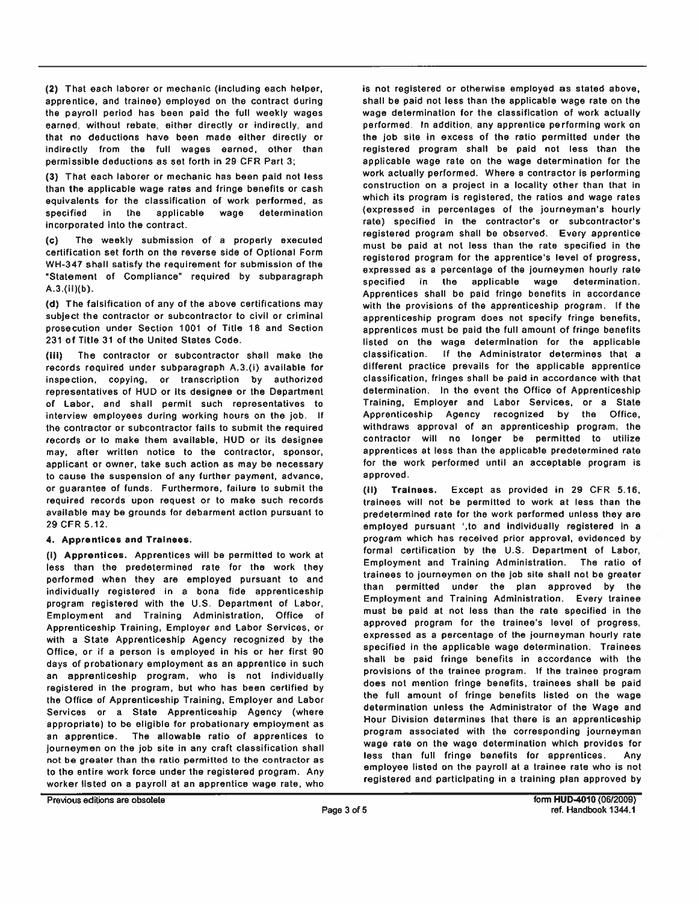(2) That each laborer or mechanic (including each helper, apprentice, and trainee) employed on the contract during the payroll period has been paid the full weekly wages earned, without rebate, either directly or indirectly, and that no deductions have been made either directly or indirectly from the full wages earned, other than permissible deductions as set forth in 29 CFR Part 3;

(3) That each laborer or mechanic has been paid not less than the applicable wage rates and fringe benefits or cash equivalents for the classification of work performed, as specified in the applicable wage determination incorporated into the contract.

The weekly submission of a properly executed  $(c)$ certification set forth on the reverse side of Optional Form WH-347 shall satisfy the requirement for submission of the "Statement of Compliance" required by subparagraph  $A.3.(ii)(b).$ 

(d) The falsification of any of the above certifications may subject the contractor or subcontractor to civil or criminal prosecution under Section 1001 of Title 18 and Section 231 of Title 31 of the United States Code.

(iii) The contractor or subcontractor shall make the records required under subparagraph A.3.(i) available for inspection, copying, or transcription by authorized representatives of HUD or its designee or the Department of Labor, and shall permit such representatives to interview employees during working hours on the job. If the contractor or subcontractor fails to submit the required records or to make them available, HUD or its designee may, after written notice to the contractor, sponsor, applicant or owner, take such action as may be necessary to cause the suspension of any further payment, advance, or guarantee of funds. Furthermore, failure to submit the required records upon request or to make such records available may be grounds for debarment action pursuant to 29 CFR 5.12.

#### 4. Apprentices and Trainees.

(I) Approntices. Apprentices will be permitted to work at less than the predetermined rate for the work they performed when they are employed pursuant to and individually registered in a bona fide apprenticeship program registered with the U.S. Department of Labor, Employment and Training Administration, Office of Apprenticeship Training, Employer and Labor Services, or with a State Apprenticeship Agency recognized by the Office, or if a person is employed in his or her first 90 days of probationary employment as an apprentice in such an apprenticeship program, who is not individually registered in the program, but who has been certified by the Office of Apprenticeship Training, Employer and Labor Services or a State Apprenticeship Agency (where appropriate) to be eligible for probationary employment as an apprentice. The allowable ratio of apprentices to journeymen on the job site in any craft classification shall not be greater than the ratio permitted to the contractor as to the entire work force under the registered program. Any worker listed on a payroll at an apprentice wage rate, who

is not registered or otherwise employed as stated above, shall be paid not less than the applicable wage rate on the wage determination for the classification of work actually performed. In addition, any apprentice performing work on the job site in excess of the ratio permitted under the registered program shall be paid not less than the applicable wage rate on the wage determination for the work actually performed. Where a contractor is performing construction on a project in a locality other than that in which its program is registered, the ratios and wage rates (expressed in percentages of the journeyman's hourly rate) specified in the contractor's or subcontractor's registered program shall be observed. Every apprentice must be paid at not less than the rate specified in the registered program for the apprentice's level of progress, expressed as a percentage of the journeymen hourly rate specified in the applicable wage determination. Apprentices shall be paid fringe benefits in accordance with the provisions of the apprenticeship program. If the apprenticeship program does not specify fringe benefits, apprentices must be paid the full amount of fringe benefits listed on the wage determination for the applicable classification. If the Administrator determines that a different practice prevails for the applicable apprentice classification, fringes shall be paid in accordance with that determination. In the event the Office of Apprenticeship Training, Employer and Labor Services, or a State Apprenticeship Agency recognized by the Office, withdraws approval of an apprenticeship program, the contractor will no longer be permitted to utilize apprentices at less than the applicable predetermined rate for the work performed until an acceptable program is approved.

 $(ii)$ Trainees. Except as provided in 29 CFR 5.16, trainees will not be permitted to work at less than the predetermined rate for the work performed unless they are employed pursuant ',to and individually registered in a program which has received prior approval, evidenced by formal certification by the U.S. Department of Labor, Employment and Training Administration. The ratio of trainees to journeymen on the job site shall not be greater than permitted under the plan approved by the Employment and Training Administration. Every trainee must be paid at not less than the rate specified in the approved program for the trainee's level of progress, expressed as a percentage of the journeyman hourly rate specified in the applicable wage determination. Trainees shall be paid fringe benefits in accordance with the provisions of the trainee program. If the trainee program does not mention fringe benefits, trainees shall be paid the full amount of fringe benefits listed on the wage determination unless the Administrator of the Wage and Hour Division determines that there is an apprenticeship program associated with the corresponding journeyman wage rate on the wage determination which provides for less than full fringe benefits for apprentices. Any employee listed on the payroll at a trainee rate who is not registered and participating in a training plan approved by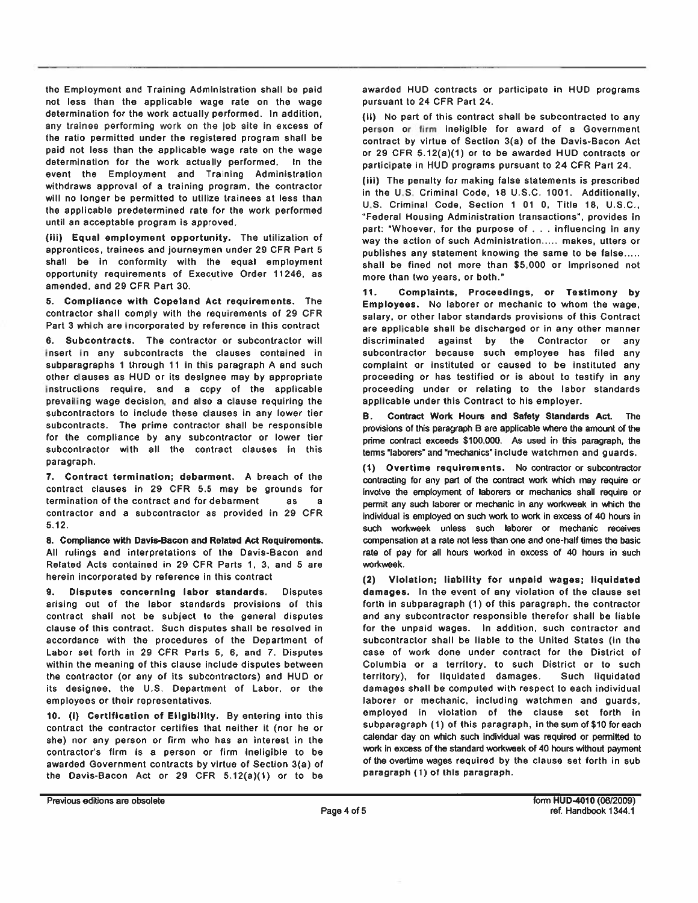the Employment and Training Administration shall be paid not less than the applicable wage rate on the wage determination for the work actually performed. In addition, any trainee performing work on the job site in excess of the ratio permitted under the registered program shall be paid not less than the applicable wage rate on the wage determination for the work actually performed. In the event the Employment and Training Administration withdraws approval of a training program, the contractor will no longer be permitted to utilize trainees at less than the applicable predetermined rate for the work performed until an acceptable program is approved.

(iii) Equal employment opportunity. The utilization of apprentices, trainees and journeymen under 29 CFR Part 5 shall be in conformity with the equal employment opportunity requirements of Executive Order 11246, as amended, and 29 CFR Part 30.

5. Compliance with Copeland Act requirements. The contractor shall comply with the requirements of 29 CFR Part 3 which are incorporated by reference in this contract

6. Subcontracts. The contractor or subcontractor will insert in any subcontracts the clauses contained in subparagraphs 1 through 11 in this paragraph A and such other clauses as HUD or its designee may by appropriate instructions require, and a copy of the applicable prevailing wage decision, and also a clause requiring the subcontractors to include these clauses in any lower tier subcontracts. The prime contractor shall be responsible for the compliance by any subcontractor or lower tier subcontractor with all the contract clauses in this paragraph.

7. Contract termination; debarment. A breach of the contract clauses in 29 CFR 5.5 may be grounds for termination of the contract and for debarment **as** я contractor and a subcontractor as provided in 29 CFR  $5.12.$ 

8. Compliance with Davis-Bacon and Related Act Requirements. All rulings and interpretations of the Davis-Bacon and Related Acts contained in 29 CFR Parts 1, 3, and 5 are herein incorporated by reference in this contract

9. Disputes concerning labor standards. Disputes arising out of the labor standards provisions of this contract shall not be subject to the general disputes clause of this contract. Such disputes shall be resolved in accordance with the procedures of the Department of Labor set forth in 29 CFR Parts 5, 6, and 7. Disputes within the meaning of this clause include disputes between the contractor (or any of its subcontractors) and HUD or its designee, the U.S. Department of Labor, or the employees or their representatives.

10. (i) Certification of Eligibility. By entering into this contract the contractor certifies that neither it (nor he or she) nor any person or firm who has an interest in the contractor's firm is a person or firm ineligible to be awarded Government contracts by virtue of Section 3(a) of the Davis-Bacon Act or 29 CFR 5.12(a)(1) or to be

awarded HUD contracts or participate in HUD programs pursuant to 24 CFR Part 24.

(ii) No part of this contract shall be subcontracted to any person or firm ineligible for award of a Government contract by virtue of Section 3(a) of the Davis-Bacon Act or 29 CFR 5.12(a)(1) or to be awarded HUD contracts or participate in HUD programs pursuant to 24 CFR Part 24.

(iii) The penalty for making false statements is prescribed in the U.S. Criminal Code, 18 U.S.C. 1001. Additionally, U.S. Criminal Code, Section 1 01 0, Title 18, U.S.C., "Federal Housing Administration transactions", provides in part: "Whoever, for the purpose of . . . influencing in any way the action of such Administration..... makes, utters or publishes any statement knowing the same to be false..... shall be fined not more than \$5,000 or imprisoned not more than two years, or both."

 $11.$ Complaints, Proceedings, or Testimony by Employees. No laborer or mechanic to whom the wage. salary, or other labor standards provisions of this Contract are applicable shall be discharged or in any other manner discriminated against by the Contractor or any subcontractor because such employee has filed any complaint or instituted or caused to be instituted any proceeding or has testified or is about to testify in any proceeding under or relating to the labor standards applicable under this Contract to his employer.

Contract Work Hours and Safety Standards Act. The В. provisions of this paragraph B are applicable where the amount of the prime contract exceeds \$100,000. As used in this paragraph, the terms "laborers" and "mechanics" include watchmen and guards.

(1) Overtime requirements. No contractor or subcontractor contracting for any part of the contract work which may require or involve the employment of laborers or mechanics shall require or permit any such laborer or mechanic in any workweek in which the individual is employed on such work to work in excess of 40 hours in such workweek unless such laborer or mechanic receives compensation at a rate not less than one and one-half times the basic rate of pay for all hours worked in excess of 40 hours in such workweek.

(2) Violation; liability for unpaid wages; liquidated damages. In the event of any violation of the clause set forth in subparagraph (1) of this paragraph, the contractor and any subcontractor responsible therefor shall be liable for the unpaid wages. In addition, such contractor and subcontractor shall be liable to the United States (in the case of work done under contract for the District of Columbia or a territory, to such District or to such territory), for liquidated damages. Such liquidated damages shall be computed with respect to each individual laborer or mechanic, including watchmen and guards, employed in violation of the clause set forth in subparagraph (1) of this paragraph, in the sum of \$10 for each calendar day on which such individual was required or permitted to work in excess of the standard workweek of 40 hours without payment of the overtime wages required by the clause set forth in sub paragraph (1) of this paragraph.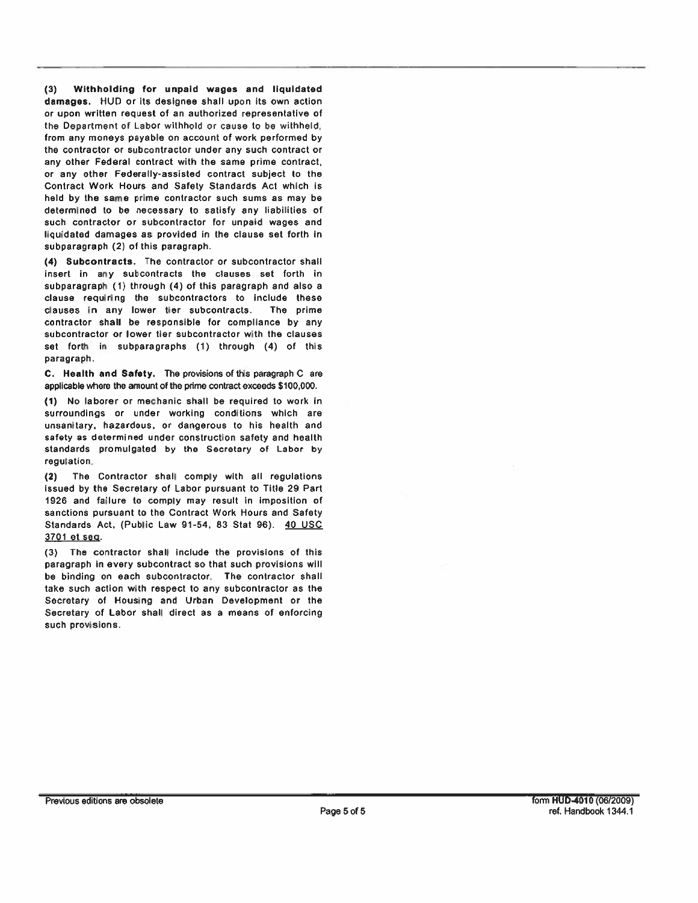Withholding for unpaid wages and liquidated  $(3)$ damages. HUD or its designee shall upon its own action or upon written request of an authorized representative of the Department of Labor withhold or cause to be withheld, from any moneys payable on account of work performed by the contractor or subcontractor under any such contract or any other Federal contract with the same prime contract, or any other Federally-assisted contract subject to the Contract Work Hours and Safety Standards Act which is held by the same prime contractor such sums as may be determined to be necessary to satisfy any liabilities of such contractor or subcontractor for unpaid wages and liquidated damages as provided in the clause set forth in subparagraph (2) of this paragraph.

(4) Subcontracts. The contractor or subcontractor shall insert in any subcontracts the clauses set forth in subparagraph (1) through (4) of this paragraph and also a clause requiring the subcontractors to include these clauses in any lower tier subcontracts. The prime contractor shall be responsible for compliance by any subcontractor or lower tier subcontractor with the clauses set forth in subparagraphs (1) through (4) of this paragraph.

C. Health and Safety. The provisions of this paragraph C are applicable where the amount of the prime contract exceeds \$100,000.

(1) No laborer or mechanic shall be required to work in surroundings or under working conditions which are unsanitary, hazardous, or dangerous to his health and safety as determined under construction safety and health standards promulgated by the Secretary of Labor by regulation.

 $(2)$ The Contractor shall comply with all regulations issued by the Secretary of Labor pursuant to Title 29 Part 1926 and failure to comply may result in imposition of sanctions pursuant to the Contract Work Hours and Safety Standards Act, (Public Law 91-54, 83 Stat 96). 40 USC 3701 et seg.

(3) The contractor shall include the provisions of this paragraph in every subcontract so that such provisions will be binding on each subcontractor. The contractor shall take such action with respect to any subcontractor as the Secretary of Housing and Urban Development or the Secretary of Labor shall direct as a means of enforcing such provisions.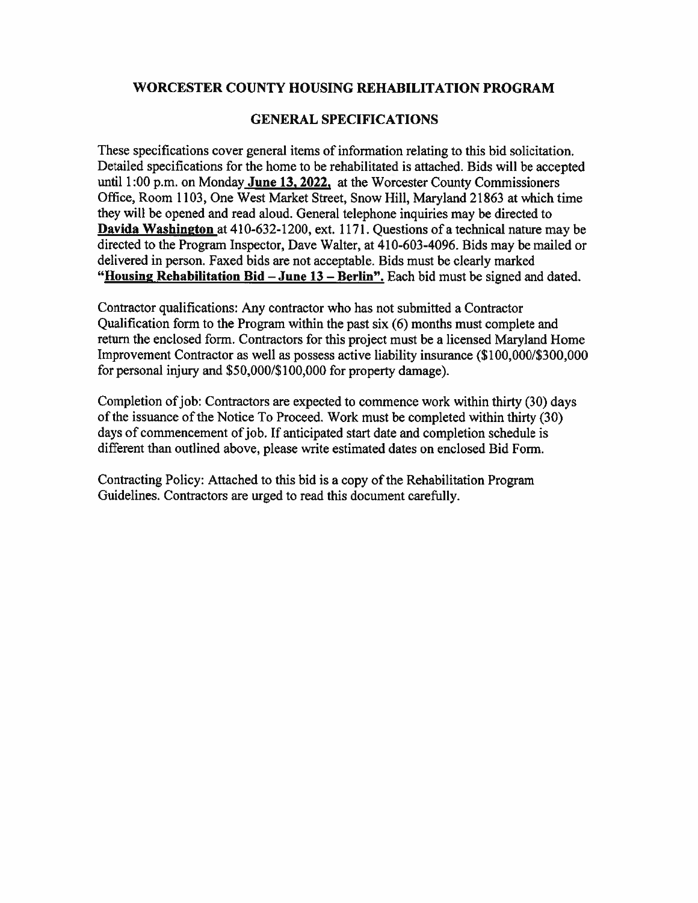#### WORCESTER COUNTY HOUSING REHABILITATION PROGRAM

#### **GENERAL SPECIFICATIONS**

These specifications cover general items of information relating to this bid solicitation. Detailed specifications for the home to be rehabilitated is attached. Bids will be accepted until 1:00 p.m. on Monday June 13, 2022, at the Worcester County Commissioners Office, Room 1103, One West Market Street, Snow Hill, Maryland 21863 at which time they will be opened and read aloud. General telephone inquiries may be directed to Davida Washington at 410-632-1200, ext. 1171. Questions of a technical nature may be directed to the Program Inspector, Dave Walter, at 410-603-4096. Bids may be mailed or delivered in person. Faxed bids are not acceptable. Bids must be clearly marked "Housing Rehabilitation Bid - June 13 - Berlin". Each bid must be signed and dated.

Contractor qualifications: Any contractor who has not submitted a Contractor Qualification form to the Program within the past six (6) months must complete and return the enclosed form. Contractors for this project must be a licensed Maryland Home Improvement Contractor as well as possess active liability insurance (\$100,000/\$300,000 for personal injury and \$50,000/\$100,000 for property damage).

Completion of job: Contractors are expected to commence work within thirty (30) days of the issuance of the Notice To Proceed. Work must be completed within thirty (30) days of commencement of job. If anticipated start date and completion schedule is different than outlined above, please write estimated dates on enclosed Bid Form.

Contracting Policy: Attached to this bid is a copy of the Rehabilitation Program Guidelines. Contractors are urged to read this document carefully.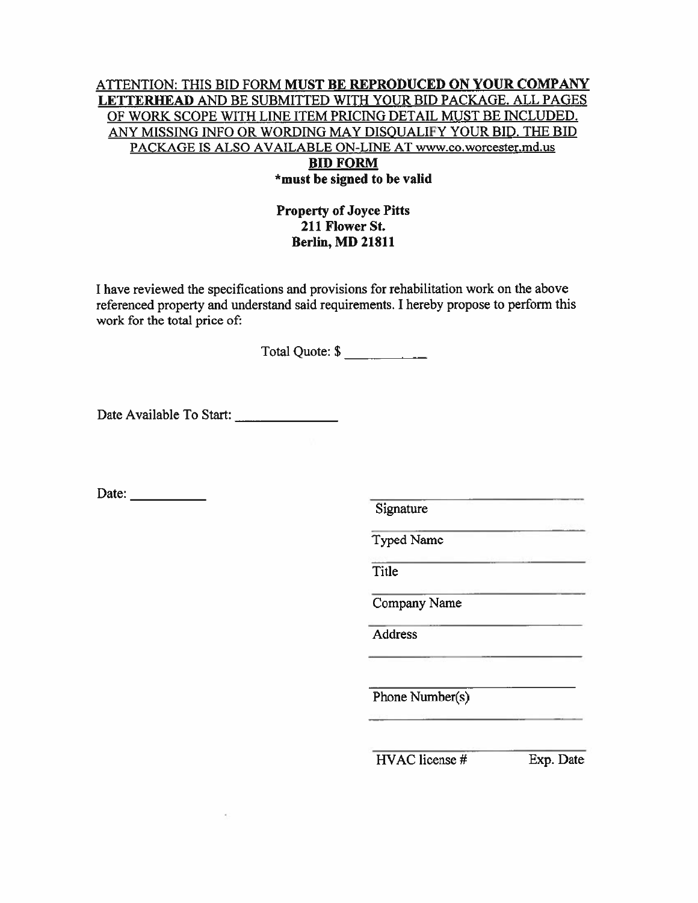#### ATTENTION: THIS BID FORM MUST BE REPRODUCED ON YOUR COMPANY LETTERHEAD AND BE SUBMITTED WITH YOUR BID PACKAGE. ALL PAGES OF WORK SCOPE WITH LINE ITEM PRICING DETAIL MUST BE INCLUDED. ANY MISSING INFO OR WORDING MAY DISQUALIFY YOUR BID. THE BID PACKAGE IS ALSO AVAILABLE ON-LINE AT www.co.worcester.md.us **BID FORM** \*must be signed to be valid

#### **Property of Joyce Pitts** 211 Flower St. **Berlin, MD 21811**

I have reviewed the specifications and provisions for rehabilitation work on the above referenced property and understand said requirements. I hereby propose to perform this work for the total price of:

Total Quote: \$

Date:  $\qquad \qquad$ 

Signature

**Typed Name** 

Title

Company Name

Address

Phone Number(s)

 $HVAC$  license  $#$ 

Exp. Date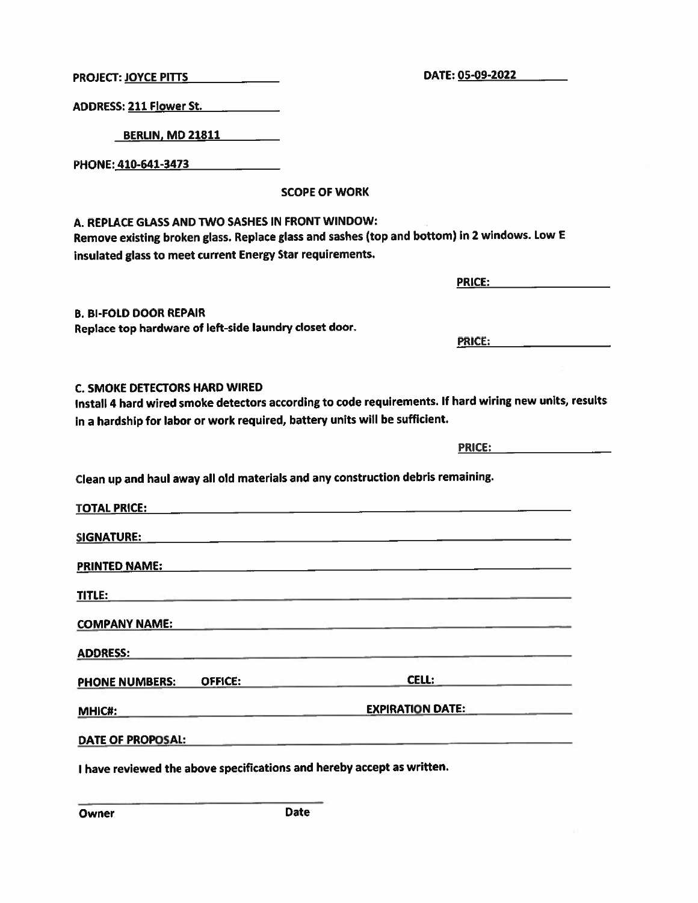Owner

DATE OF PROPOSAL:

**Date** 

I have reviewed the above specifications and hereby accept as written.

Clean up and haul away all old materials and any construction debris remaining. SIGNATURE: **TITLE:** TITLE: COMPANY NAME: And the company of the company of the company of the company of the company of the company of the company of the company of the company of the company of the company of the company of the company of the compa PHONE NUMBERS: OFFICE: CELL: CELL: **EXPIRATION DATE: MHIC#:** 

## **C. SMOKE DETECTORS HARD WIRED**

Install 4 hard wired smoke detectors according to code requirements. If hard wiring new units, results in a hardship for labor or work required, battery units will be sufficient.

Replace top hardware of left-side laundry closet door.

A. REPLACE GLASS AND TWO SASHES IN FRONT WINDOW:

insulated glass to meet current Energy Star requirements.

# **SCOPE OF WORK**

Remove existing broken glass. Replace glass and sashes (top and bottom) in 2 windows. Low E

ADDRESS: 211 Flower St.

**BERLIN. MD 21811** 

PHONE: 410-641-3473

**B. BI-FOLD DOOR REPAIR** 

**PRICE:** 

**PRICE:** The contract of the contract of the contract of the contract of the contract of the contract of the contract of the contract of the contract of the contract of the contract of the contract of the contract of the c

PRICE: **All and Service** PRICE:

PROJECT: JOYCE PITTS **FOUR PROJECT:**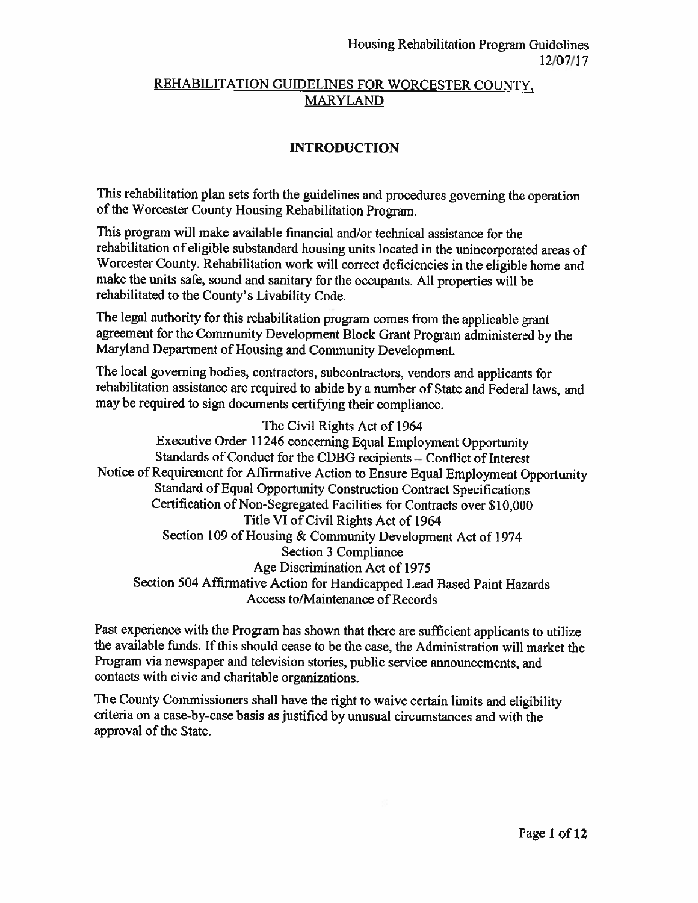## REHABILITATION GUIDELINES FOR WORCESTER COUNTY, **MARYLAND**

## **INTRODUCTION**

This rehabilitation plan sets forth the guidelines and procedures governing the operation of the Worcester County Housing Rehabilitation Program.

This program will make available financial and/or technical assistance for the rehabilitation of eligible substandard housing units located in the unincorporated areas of Worcester County. Rehabilitation work will correct deficiencies in the eligible home and make the units safe, sound and sanitary for the occupants. All properties will be rehabilitated to the County's Livability Code.

The legal authority for this rehabilitation program comes from the applicable grant agreement for the Community Development Block Grant Program administered by the Maryland Department of Housing and Community Development.

The local governing bodies, contractors, subcontractors, vendors and applicants for rehabilitation assistance are required to abide by a number of State and Federal laws, and may be required to sign documents certifying their compliance.

The Civil Rights Act of 1964 Executive Order 11246 concerning Equal Employment Opportunity Standards of Conduct for the CDBG recipients – Conflict of Interest Notice of Requirement for Affirmative Action to Ensure Equal Employment Opportunity Standard of Equal Opportunity Construction Contract Specifications Certification of Non-Segregated Facilities for Contracts over \$10,000 Title VI of Civil Rights Act of 1964 Section 109 of Housing & Community Development Act of 1974 Section 3 Compliance Age Discrimination Act of 1975 Section 504 Affirmative Action for Handicapped Lead Based Paint Hazards Access to/Maintenance of Records

Past experience with the Program has shown that there are sufficient applicants to utilize the available funds. If this should cease to be the case, the Administration will market the Program via newspaper and television stories, public service announcements, and contacts with civic and charitable organizations.

The County Commissioners shall have the right to waive certain limits and eligibility criteria on a case-by-case basis as justified by unusual circumstances and with the approval of the State.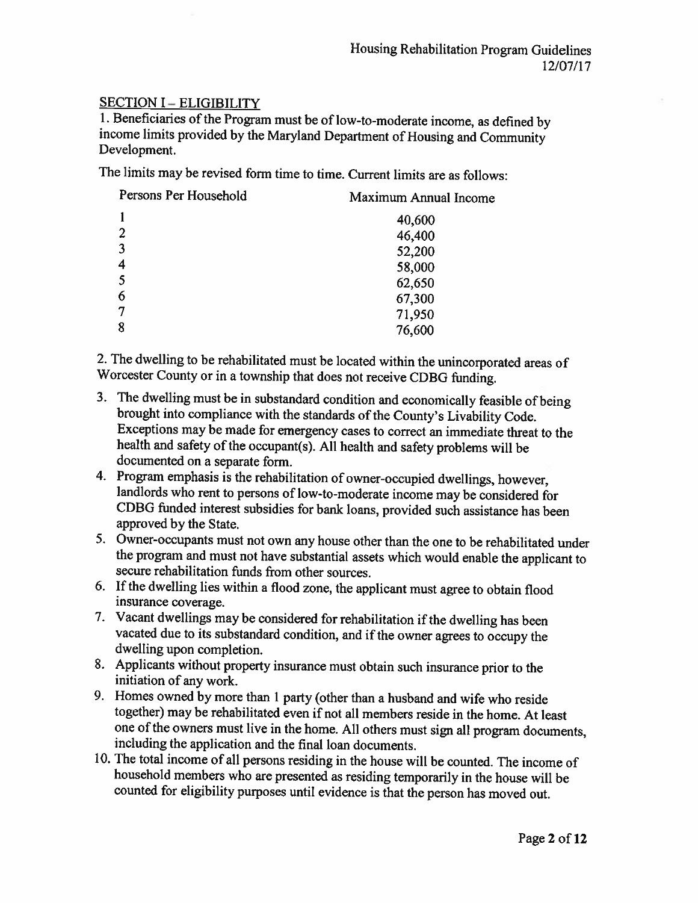### **SECTION I - ELIGIBILITY**

1. Beneficiaries of the Program must be of low-to-moderate income, as defined by income limits provided by the Maryland Department of Housing and Community Development.

The limits may be revised form time to time. Current limits are as follows:

| Persons Per Household | Maximum Annual Income |
|-----------------------|-----------------------|
|                       | 40,600                |
| 2                     | 46,400                |
| 3                     | 52,200                |
| 4                     | 58,000                |
| 5                     | 62,650                |
| 6                     | 67,300                |
|                       | 71,950                |
| 8                     | 76,600                |

2. The dwelling to be rehabilitated must be located within the unincorporated areas of Worcester County or in a township that does not receive CDBG funding.

- 3. The dwelling must be in substandard condition and economically feasible of being brought into compliance with the standards of the County's Livability Code. Exceptions may be made for emergency cases to correct an immediate threat to the health and safety of the occupant(s). All health and safety problems will be documented on a separate form.
- 4. Program emphasis is the rehabilitation of owner-occupied dwellings, however, landlords who rent to persons of low-to-moderate income may be considered for CDBG funded interest subsidies for bank loans, provided such assistance has been approved by the State.
- 5. Owner-occupants must not own any house other than the one to be rehabilitated under the program and must not have substantial assets which would enable the applicant to secure rehabilitation funds from other sources.
- 6. If the dwelling lies within a flood zone, the applicant must agree to obtain flood insurance coverage.
- 7. Vacant dwellings may be considered for rehabilitation if the dwelling has been vacated due to its substandard condition, and if the owner agrees to occupy the dwelling upon completion.
- 8. Applicants without property insurance must obtain such insurance prior to the initiation of any work.
- 9. Homes owned by more than 1 party (other than a husband and wife who reside together) may be rehabilitated even if not all members reside in the home. At least one of the owners must live in the home. All others must sign all program documents, including the application and the final loan documents.
- 10. The total income of all persons residing in the house will be counted. The income of household members who are presented as residing temporarily in the house will be counted for eligibility purposes until evidence is that the person has moved out.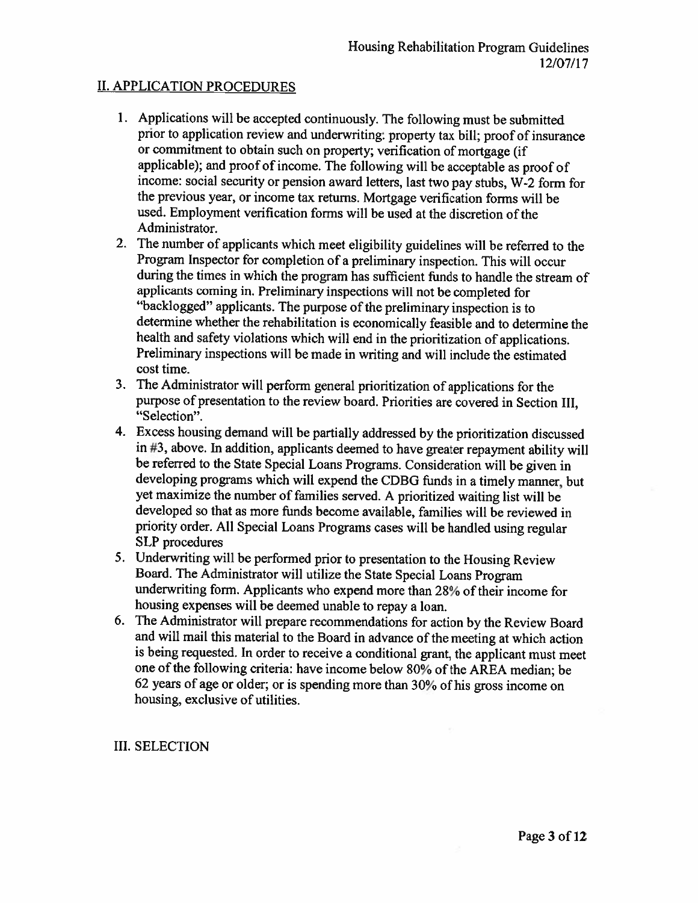### **II. APPLICATION PROCEDURES**

- 1. Applications will be accepted continuously. The following must be submitted prior to application review and underwriting: property tax bill; proof of insurance or commitment to obtain such on property; verification of mortgage (if applicable); and proof of income. The following will be acceptable as proof of income: social security or pension award letters, last two pay stubs, W-2 form for the previous year, or income tax returns. Mortgage verification forms will be used. Employment verification forms will be used at the discretion of the Administrator.
- 2. The number of applicants which meet eligibility guidelines will be referred to the Program Inspector for completion of a preliminary inspection. This will occur during the times in which the program has sufficient funds to handle the stream of applicants coming in. Preliminary inspections will not be completed for "backlogged" applicants. The purpose of the preliminary inspection is to determine whether the rehabilitation is economically feasible and to determine the health and safety violations which will end in the prioritization of applications. Preliminary inspections will be made in writing and will include the estimated cost time.
- 3. The Administrator will perform general prioritization of applications for the purpose of presentation to the review board. Priorities are covered in Section III, "Selection".
- 4. Excess housing demand will be partially addressed by the prioritization discussed in #3, above. In addition, applicants deemed to have greater repayment ability will be referred to the State Special Loans Programs. Consideration will be given in developing programs which will expend the CDBG funds in a timely manner, but yet maximize the number of families served. A prioritized waiting list will be developed so that as more funds become available, families will be reviewed in priority order. All Special Loans Programs cases will be handled using regular **SLP** procedures
- 5. Underwriting will be performed prior to presentation to the Housing Review Board. The Administrator will utilize the State Special Loans Program underwriting form. Applicants who expend more than 28% of their income for housing expenses will be deemed unable to repay a loan.
- 6. The Administrator will prepare recommendations for action by the Review Board and will mail this material to the Board in advance of the meeting at which action is being requested. In order to receive a conditional grant, the applicant must meet one of the following criteria: have income below 80% of the AREA median; be 62 years of age or older; or is spending more than 30% of his gross income on housing, exclusive of utilities.

#### **III. SELECTION**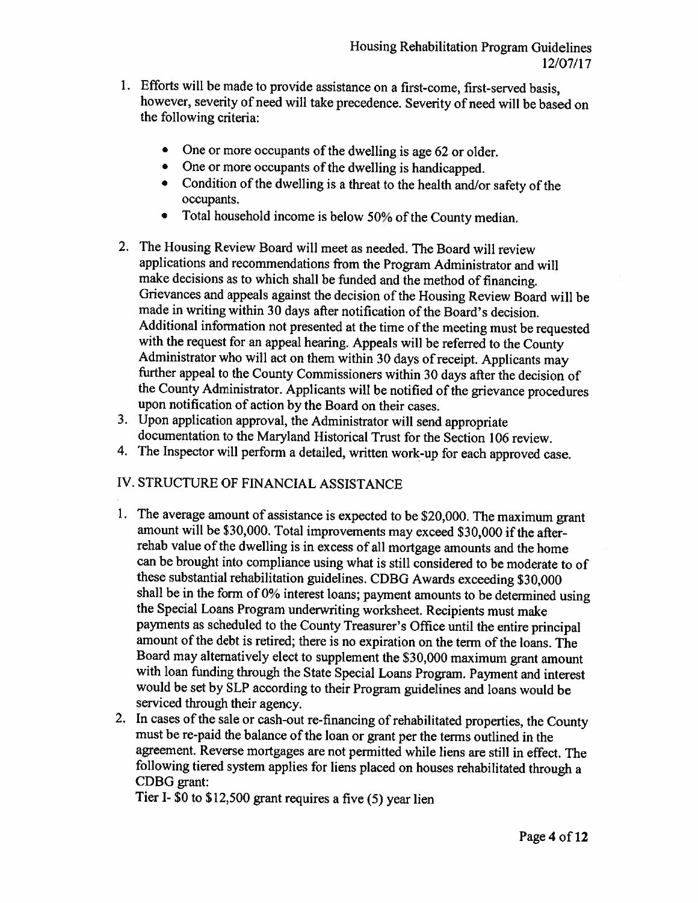- 1. Efforts will be made to provide assistance on a first-come, first-served basis, however, severity of need will take precedence. Severity of need will be based on the following criteria:
	- One or more occupants of the dwelling is age 62 or older.
	- One or more occupants of the dwelling is handicapped.
	- Condition of the dwelling is a threat to the health and/or safety of the occupants.
	- Total household income is below 50% of the County median.  $\bullet$
- 2. The Housing Review Board will meet as needed. The Board will review applications and recommendations from the Program Administrator and will make decisions as to which shall be funded and the method of financing. Grievances and appeals against the decision of the Housing Review Board will be made in writing within 30 days after notification of the Board's decision. Additional information not presented at the time of the meeting must be requested with the request for an appeal hearing. Appeals will be referred to the County Administrator who will act on them within 30 days of receipt. Applicants may further appeal to the County Commissioners within 30 days after the decision of the County Administrator. Applicants will be notified of the grievance procedures upon notification of action by the Board on their cases.
- 3. Upon application approval, the Administrator will send appropriate documentation to the Maryland Historical Trust for the Section 106 review.
- 4. The Inspector will perform a detailed, written work-up for each approved case.

## IV. STRUCTURE OF FINANCIAL ASSISTANCE

- 1. The average amount of assistance is expected to be \$20,000. The maximum grant amount will be \$30,000. Total improvements may exceed \$30,000 if the afterrehab value of the dwelling is in excess of all mortgage amounts and the home can be brought into compliance using what is still considered to be moderate to of these substantial rehabilitation guidelines. CDBG Awards exceeding \$30,000 shall be in the form of 0% interest loans; payment amounts to be determined using the Special Loans Program underwriting worksheet. Recipients must make payments as scheduled to the County Treasurer's Office until the entire principal amount of the debt is retired; there is no expiration on the term of the loans. The Board may alternatively elect to supplement the \$30,000 maximum grant amount with loan funding through the State Special Loans Program. Payment and interest would be set by SLP according to their Program guidelines and loans would be serviced through their agency.
- 2. In cases of the sale or cash-out re-financing of rehabilitated properties, the County must be re-paid the balance of the loan or grant per the terms outlined in the agreement. Reverse mortgages are not permitted while liens are still in effect. The following tiered system applies for liens placed on houses rehabilitated through a CDBG grant:

Tier I- \$0 to  $$12,500$  grant requires a five (5) year lien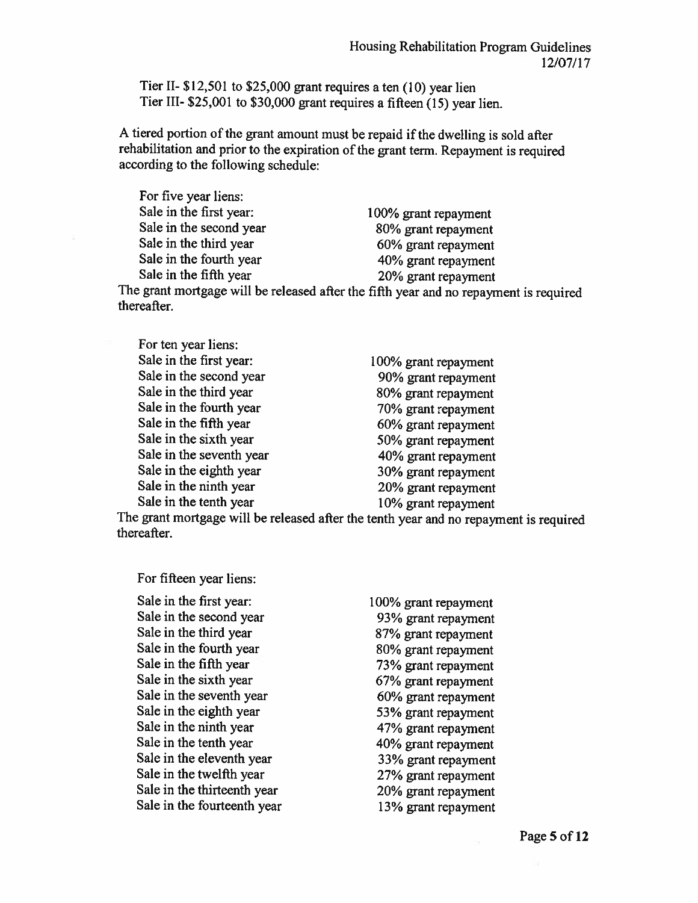Tier II-  $$12,501$  to  $$25,000$  grant requires a ten (10) year lien Tier III- \$25,001 to \$30,000 grant requires a fifteen (15) year lien.

A tiered portion of the grant amount must be repaid if the dwelling is sold after rehabilitation and prior to the expiration of the grant term. Repayment is required according to the following schedule:

For five year liens: Sale in the first year: Sale in the second year Sale in the third year Sale in the fourth year Sale in the fifth year

100% grant repayment 80% grant repayment 60% grant repayment 40% grant repayment 20% grant repayment

The grant mortgage will be released after the fifth year and no repayment is required thereafter.

| 100% grant repayment |
|----------------------|
| 90% grant repayment  |
| 80% grant repayment  |
| 70% grant repayment  |
| 60% grant repayment  |
| 50% grant repayment  |
| 40% grant repayment  |
| 30% grant repayment  |
| 20% grant repayment  |
| 10% grant repayment  |
|                      |

The grant mortgage will be released after the tenth year and no repayment is required thereafter.

For fifteen year liens:

Sale in the first year: Sale in the second year Sale in the third year Sale in the fourth year Sale in the fifth year Sale in the sixth year Sale in the seventh year Sale in the eighth year Sale in the ninth year Sale in the tenth year Sale in the eleventh year Sale in the twelfth year Sale in the thirteenth year Sale in the fourteenth year

100% grant repayment 93% grant repayment 87% grant repayment 80% grant repayment 73% grant repayment 67% grant repayment 60% grant repayment 53% grant repayment 47% grant repayment 40% grant repayment 33% grant repayment 27% grant repayment 20% grant repayment 13% grant repayment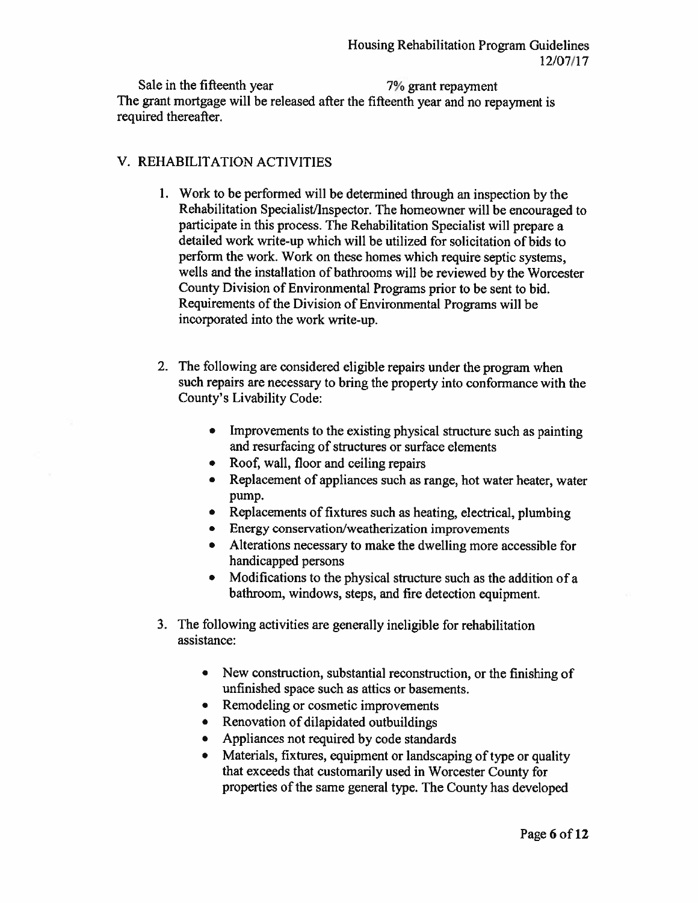Sale in the fifteenth year 7% grant repayment The grant mortgage will be released after the fifteenth year and no repayment is required thereafter.

#### V. REHABILITATION ACTIVITIES

- 1. Work to be performed will be determined through an inspection by the Rehabilitation Specialist/Inspector. The homeowner will be encouraged to participate in this process. The Rehabilitation Specialist will prepare a detailed work write-up which will be utilized for solicitation of bids to perform the work. Work on these homes which require septic systems, wells and the installation of bathrooms will be reviewed by the Worcester County Division of Environmental Programs prior to be sent to bid. Requirements of the Division of Environmental Programs will be incorporated into the work write-up.
- 2. The following are considered eligible repairs under the program when such repairs are necessary to bring the property into conformance with the County's Livability Code:
	- Improvements to the existing physical structure such as painting  $\bullet$ and resurfacing of structures or surface elements
	- Roof, wall, floor and ceiling repairs
	- Replacement of appliances such as range, hot water heater, water pump.
	- Replacements of fixtures such as heating, electrical, plumbing
	- Energy conservation/weatherization improvements
	- Alterations necessary to make the dwelling more accessible for handicapped persons
	- Modifications to the physical structure such as the addition of a bathroom, windows, steps, and fire detection equipment.
- 3. The following activities are generally ineligible for rehabilitation assistance:
	- New construction, substantial reconstruction, or the finishing of unfinished space such as attics or basements.
	- Remodeling or cosmetic improvements
	- Renovation of dilapidated outbuildings
	- Appliances not required by code standards
	- Materials, fixtures, equipment or landscaping of type or quality that exceeds that customarily used in Worcester County for properties of the same general type. The County has developed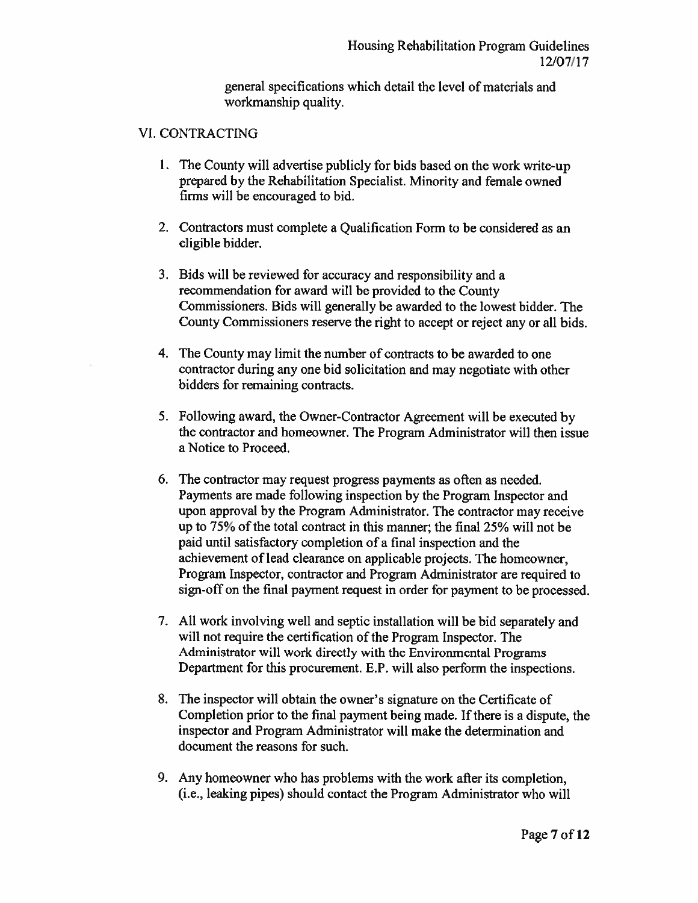general specifications which detail the level of materials and workmanship quality.

#### **VI. CONTRACTING**

- 1. The County will advertise publicly for bids based on the work write-up prepared by the Rehabilitation Specialist. Minority and female owned firms will be encouraged to bid.
- 2. Contractors must complete a Qualification Form to be considered as an eligible bidder.
- 3. Bids will be reviewed for accuracy and responsibility and a recommendation for award will be provided to the County Commissioners. Bids will generally be awarded to the lowest bidder. The County Commissioners reserve the right to accept or reject any or all bids.
- 4. The County may limit the number of contracts to be awarded to one contractor during any one bid solicitation and may negotiate with other bidders for remaining contracts.
- 5. Following award, the Owner-Contractor Agreement will be executed by the contractor and homeowner. The Program Administrator will then issue a Notice to Proceed.
- 6. The contractor may request progress payments as often as needed. Payments are made following inspection by the Program Inspector and upon approval by the Program Administrator. The contractor may receive up to 75% of the total contract in this manner; the final 25% will not be paid until satisfactory completion of a final inspection and the achievement of lead clearance on applicable projects. The homeowner, Program Inspector, contractor and Program Administrator are required to sign-off on the final payment request in order for payment to be processed.
- 7. All work involving well and septic installation will be bid separately and will not require the certification of the Program Inspector. The Administrator will work directly with the Environmental Programs Department for this procurement. E.P. will also perform the inspections.
- 8. The inspector will obtain the owner's signature on the Certificate of Completion prior to the final payment being made. If there is a dispute, the inspector and Program Administrator will make the determination and document the reasons for such.
- 9. Any homeowner who has problems with the work after its completion. (i.e., leaking pipes) should contact the Program Administrator who will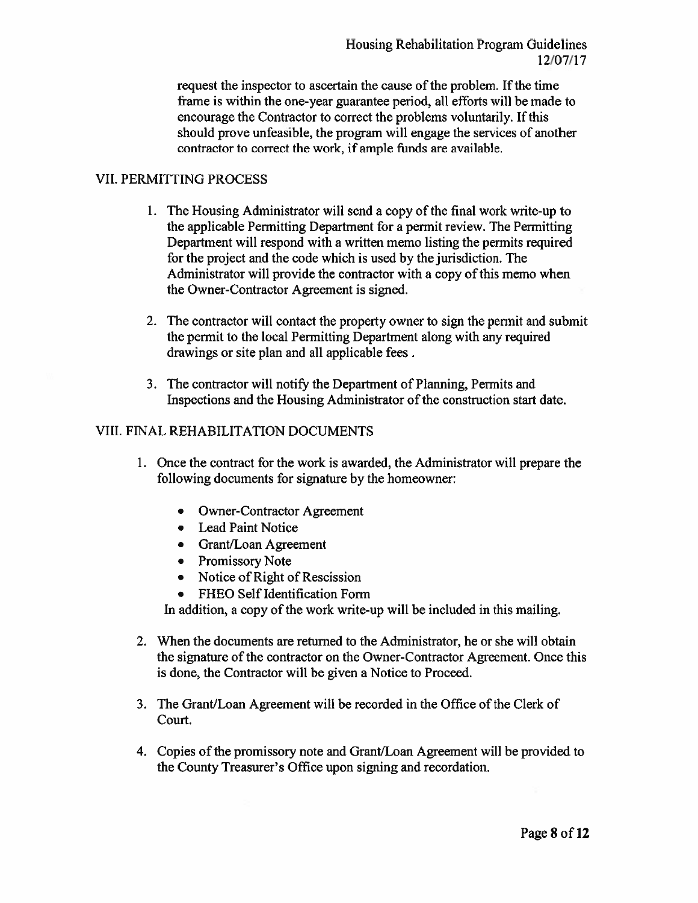request the inspector to ascertain the cause of the problem. If the time frame is within the one-year guarantee period, all efforts will be made to encourage the Contractor to correct the problems voluntarily. If this should prove unfeasible, the program will engage the services of another contractor to correct the work, if ample funds are available.

#### **VII. PERMITTING PROCESS**

- 1. The Housing Administrator will send a copy of the final work write-up to the applicable Permitting Department for a permit review. The Permitting Department will respond with a written memo listing the permits required for the project and the code which is used by the jurisdiction. The Administrator will provide the contractor with a copy of this memo when the Owner-Contractor Agreement is signed.
- 2. The contractor will contact the property owner to sign the permit and submit the permit to the local Permitting Department along with any required drawings or site plan and all applicable fees.
- 3. The contractor will notify the Department of Planning, Permits and Inspections and the Housing Administrator of the construction start date.

#### **VIII. FINAL REHABILITATION DOCUMENTS**

- 1. Once the contract for the work is awarded, the Administrator will prepare the following documents for signature by the homeowner:
	- Owner-Contractor Agreement
	- Lead Paint Notice
	- Grant/Loan Agreement
	- Promissory Note
	- Notice of Right of Rescission
	- FHEO Self Identification Form

In addition, a copy of the work write-up will be included in this mailing.

- 2. When the documents are returned to the Administrator, he or she will obtain the signature of the contractor on the Owner-Contractor Agreement. Once this is done, the Contractor will be given a Notice to Proceed.
- 3. The Grant/Loan Agreement will be recorded in the Office of the Clerk of Court.
- 4. Copies of the promissory note and Grant/Loan Agreement will be provided to the County Treasurer's Office upon signing and recordation.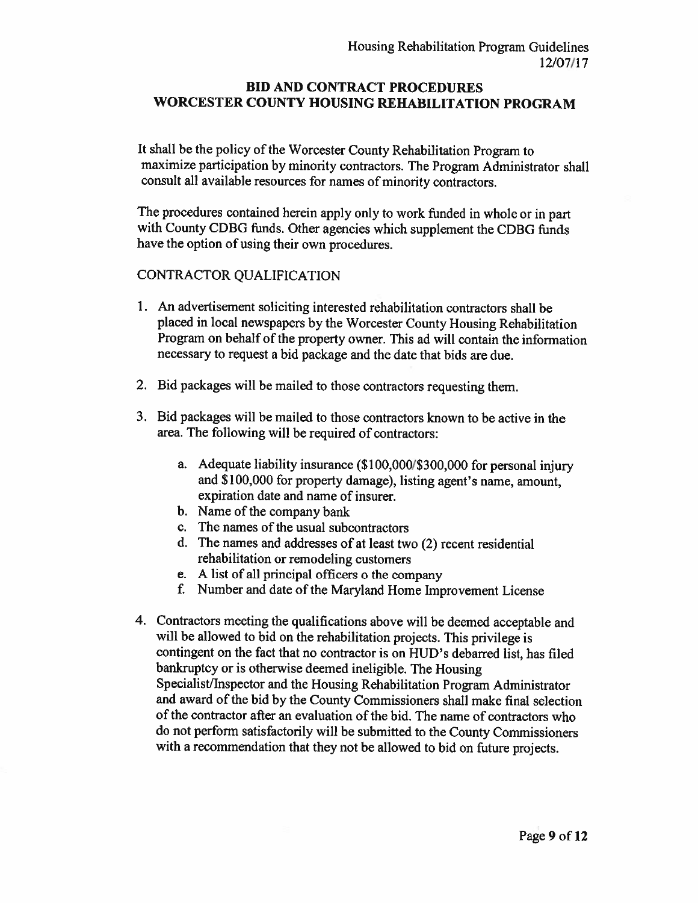#### **BID AND CONTRACT PROCEDURES** WORCESTER COUNTY HOUSING REHABILITATION PROGRAM

It shall be the policy of the Worcester County Rehabilitation Program to maximize participation by minority contractors. The Program Administrator shall consult all available resources for names of minority contractors.

The procedures contained herein apply only to work funded in whole or in part with County CDBG funds. Other agencies which supplement the CDBG funds have the option of using their own procedures.

#### CONTRACTOR QUALIFICATION

- 1. An advertisement soliciting interested rehabilitation contractors shall be placed in local newspapers by the Worcester County Housing Rehabilitation Program on behalf of the property owner. This ad will contain the information necessary to request a bid package and the date that bids are due.
- 2. Bid packages will be mailed to those contractors requesting them.
- 3. Bid packages will be mailed to those contractors known to be active in the area. The following will be required of contractors:
	- a. Adequate liability insurance (\$100,000/\$300,000 for personal injury and \$100,000 for property damage), listing agent's name, amount, expiration date and name of insurer.
	- b. Name of the company bank
	- c. The names of the usual subcontractors
	- d. The names and addresses of at least two (2) recent residential rehabilitation or remodeling customers
	- e. A list of all principal officers o the company
	- f. Number and date of the Maryland Home Improvement License
- 4. Contractors meeting the qualifications above will be deemed acceptable and will be allowed to bid on the rehabilitation projects. This privilege is contingent on the fact that no contractor is on HUD's debarred list, has filed bankruptcy or is otherwise deemed ineligible. The Housing Specialist/Inspector and the Housing Rehabilitation Program Administrator and award of the bid by the County Commissioners shall make final selection of the contractor after an evaluation of the bid. The name of contractors who do not perform satisfactorily will be submitted to the County Commissioners with a recommendation that they not be allowed to bid on future projects.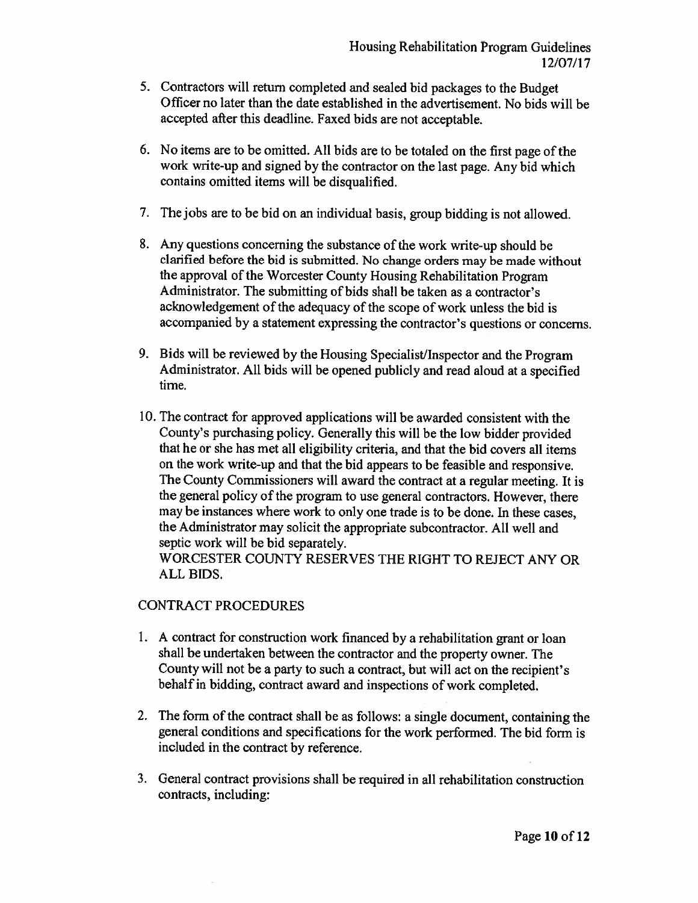- 5. Contractors will return completed and sealed bid packages to the Budget Officer no later than the date established in the advertisement. No bids will be accepted after this deadline. Faxed bids are not acceptable.
- 6. No items are to be omitted. All bids are to be totaled on the first page of the work write-up and signed by the contractor on the last page. Any bid which contains omitted items will be disqualified.
- 7. The jobs are to be bid on an individual basis, group bidding is not allowed.
- 8. Any questions concerning the substance of the work write-up should be clarified before the bid is submitted. No change orders may be made without the approval of the Worcester County Housing Rehabilitation Program Administrator. The submitting of bids shall be taken as a contractor's acknowledgement of the adequacy of the scope of work unless the bid is accompanied by a statement expressing the contractor's questions or concerns.
- 9. Bids will be reviewed by the Housing Specialist/Inspector and the Program Administrator. All bids will be opened publicly and read aloud at a specified time.
- 10. The contract for approved applications will be awarded consistent with the County's purchasing policy. Generally this will be the low bidder provided that he or she has met all eligibility criteria, and that the bid covers all items on the work write-up and that the bid appears to be feasible and responsive. The County Commissioners will award the contract at a regular meeting. It is the general policy of the program to use general contractors. However, there may be instances where work to only one trade is to be done. In these cases, the Administrator may solicit the appropriate subcontractor. All well and septic work will be bid separately.

WORCESTER COUNTY RESERVES THE RIGHT TO REJECT ANY OR ALL BIDS.

#### **CONTRACT PROCEDURES**

- 1. A contract for construction work financed by a rehabilitation grant or loan shall be undertaken between the contractor and the property owner. The County will not be a party to such a contract, but will act on the recipient's behalf in bidding, contract award and inspections of work completed.
- 2. The form of the contract shall be as follows: a single document, containing the general conditions and specifications for the work performed. The bid form is included in the contract by reference.
- 3. General contract provisions shall be required in all rehabilitation construction contracts, including: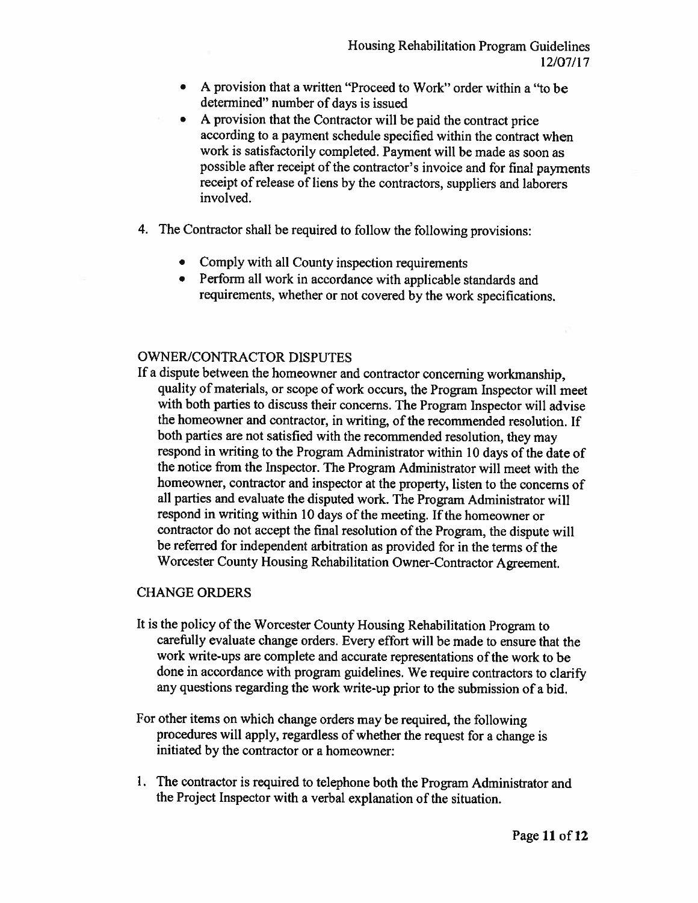- A provision that a written "Proceed to Work" order within a "to be determined" number of days is issued
- A provision that the Contractor will be paid the contract price according to a payment schedule specified within the contract when work is satisfactorily completed. Payment will be made as soon as possible after receipt of the contractor's invoice and for final payments receipt of release of liens by the contractors, suppliers and laborers involved.
- 4. The Contractor shall be required to follow the following provisions:
	- Comply with all County inspection requirements
	- Perform all work in accordance with applicable standards and requirements, whether or not covered by the work specifications.

#### **OWNER/CONTRACTOR DISPUTES**

If a dispute between the homeowner and contractor concerning workmanship, quality of materials, or scope of work occurs, the Program Inspector will meet with both parties to discuss their concerns. The Program Inspector will advise the homeowner and contractor, in writing, of the recommended resolution. If both parties are not satisfied with the recommended resolution, they may respond in writing to the Program Administrator within 10 days of the date of the notice from the Inspector. The Program Administrator will meet with the homeowner, contractor and inspector at the property, listen to the concerns of all parties and evaluate the disputed work. The Program Administrator will respond in writing within 10 days of the meeting. If the homeowner or contractor do not accept the final resolution of the Program, the dispute will be referred for independent arbitration as provided for in the terms of the Worcester County Housing Rehabilitation Owner-Contractor Agreement.

#### **CHANGE ORDERS**

- It is the policy of the Worcester County Housing Rehabilitation Program to carefully evaluate change orders. Every effort will be made to ensure that the work write-ups are complete and accurate representations of the work to be done in accordance with program guidelines. We require contractors to clarify any questions regarding the work write-up prior to the submission of a bid.
- For other items on which change orders may be required, the following procedures will apply, regardless of whether the request for a change is initiated by the contractor or a homeowner:
- 1. The contractor is required to telephone both the Program Administrator and the Project Inspector with a verbal explanation of the situation.